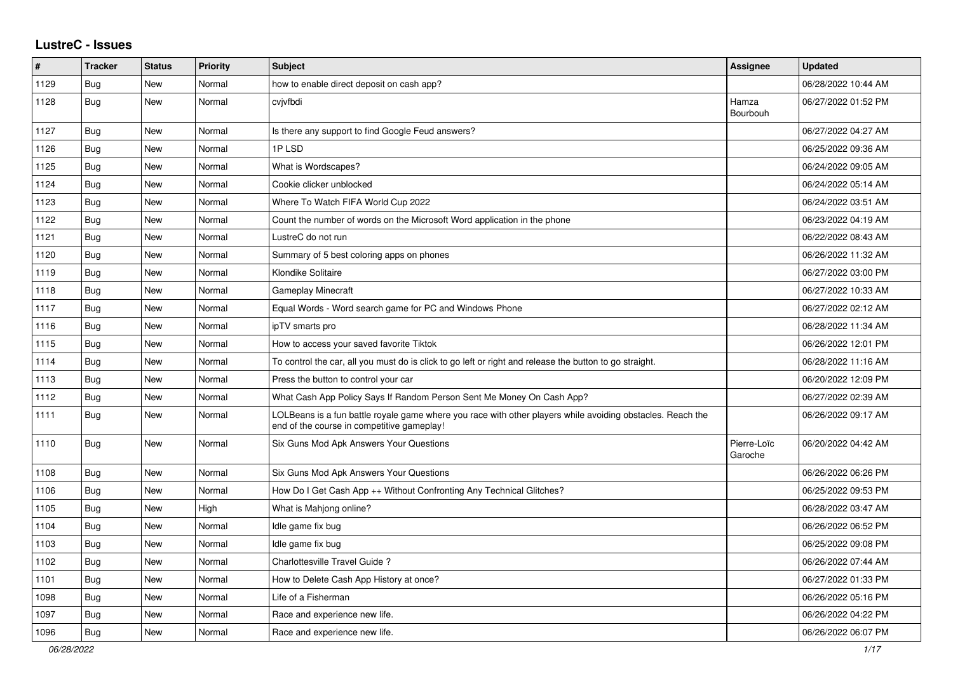## **LustreC - Issues**

| #    | <b>Tracker</b> | <b>Status</b> | <b>Priority</b> | <b>Subject</b>                                                                                                                                           | Assignee               | <b>Updated</b>      |
|------|----------------|---------------|-----------------|----------------------------------------------------------------------------------------------------------------------------------------------------------|------------------------|---------------------|
| 1129 | <b>Bug</b>     | New           | Normal          | how to enable direct deposit on cash app?                                                                                                                |                        | 06/28/2022 10:44 AM |
| 1128 | Bug            | <b>New</b>    | Normal          | cvjvfbdi                                                                                                                                                 | Hamza<br>Bourbouh      | 06/27/2022 01:52 PM |
| 1127 | Bug            | New           | Normal          | Is there any support to find Google Feud answers?                                                                                                        |                        | 06/27/2022 04:27 AM |
| 1126 | <b>Bug</b>     | <b>New</b>    | Normal          | 1PLSD                                                                                                                                                    |                        | 06/25/2022 09:36 AM |
| 1125 | <b>Bug</b>     | <b>New</b>    | Normal          | What is Wordscapes?                                                                                                                                      |                        | 06/24/2022 09:05 AM |
| 1124 | <b>Bug</b>     | New           | Normal          | Cookie clicker unblocked                                                                                                                                 |                        | 06/24/2022 05:14 AM |
| 1123 | Bug            | <b>New</b>    | Normal          | Where To Watch FIFA World Cup 2022                                                                                                                       |                        | 06/24/2022 03:51 AM |
| 1122 | <b>Bug</b>     | <b>New</b>    | Normal          | Count the number of words on the Microsoft Word application in the phone                                                                                 |                        | 06/23/2022 04:19 AM |
| 1121 | Bug            | New           | Normal          | LustreC do not run                                                                                                                                       |                        | 06/22/2022 08:43 AM |
| 1120 | Bug            | New           | Normal          | Summary of 5 best coloring apps on phones                                                                                                                |                        | 06/26/2022 11:32 AM |
| 1119 | Bug            | New           | Normal          | Klondike Solitaire                                                                                                                                       |                        | 06/27/2022 03:00 PM |
| 1118 | Bug            | <b>New</b>    | Normal          | <b>Gameplay Minecraft</b>                                                                                                                                |                        | 06/27/2022 10:33 AM |
| 1117 | <b>Bug</b>     | <b>New</b>    | Normal          | Equal Words - Word search game for PC and Windows Phone                                                                                                  |                        | 06/27/2022 02:12 AM |
| 1116 | <b>Bug</b>     | <b>New</b>    | Normal          | ipTV smarts pro                                                                                                                                          |                        | 06/28/2022 11:34 AM |
| 1115 | Bug            | New           | Normal          | How to access your saved favorite Tiktok                                                                                                                 |                        | 06/26/2022 12:01 PM |
| 1114 | Bug            | New           | Normal          | To control the car, all you must do is click to go left or right and release the button to go straight.                                                  |                        | 06/28/2022 11:16 AM |
| 1113 | Bug            | New           | Normal          | Press the button to control your car                                                                                                                     |                        | 06/20/2022 12:09 PM |
| 1112 | Bug            | New           | Normal          | What Cash App Policy Says If Random Person Sent Me Money On Cash App?                                                                                    |                        | 06/27/2022 02:39 AM |
| 1111 | Bug            | New           | Normal          | LOLBeans is a fun battle royale game where you race with other players while avoiding obstacles. Reach the<br>end of the course in competitive gameplay! |                        | 06/26/2022 09:17 AM |
| 1110 | Bug            | New           | Normal          | Six Guns Mod Apk Answers Your Questions                                                                                                                  | Pierre-Loïc<br>Garoche | 06/20/2022 04:42 AM |
| 1108 | Bug            | New           | Normal          | Six Guns Mod Apk Answers Your Questions                                                                                                                  |                        | 06/26/2022 06:26 PM |
| 1106 | <b>Bug</b>     | New           | Normal          | How Do I Get Cash App ++ Without Confronting Any Technical Glitches?                                                                                     |                        | 06/25/2022 09:53 PM |
| 1105 | <b>Bug</b>     | <b>New</b>    | High            | What is Mahjong online?                                                                                                                                  |                        | 06/28/2022 03:47 AM |
| 1104 | <b>Bug</b>     | New           | Normal          | Idle game fix bug                                                                                                                                        |                        | 06/26/2022 06:52 PM |
| 1103 | Bug            | <b>New</b>    | Normal          | Idle game fix bug                                                                                                                                        |                        | 06/25/2022 09:08 PM |
| 1102 | Bug            | <b>New</b>    | Normal          | Charlottesville Travel Guide?                                                                                                                            |                        | 06/26/2022 07:44 AM |
| 1101 | Bug            | New           | Normal          | How to Delete Cash App History at once?                                                                                                                  |                        | 06/27/2022 01:33 PM |
| 1098 | Bug            | New           | Normal          | Life of a Fisherman                                                                                                                                      |                        | 06/26/2022 05:16 PM |
| 1097 | Bug            | <b>New</b>    | Normal          | Race and experience new life.                                                                                                                            |                        | 06/26/2022 04:22 PM |
| 1096 | Bug            | New           | Normal          | Race and experience new life.                                                                                                                            |                        | 06/26/2022 06:07 PM |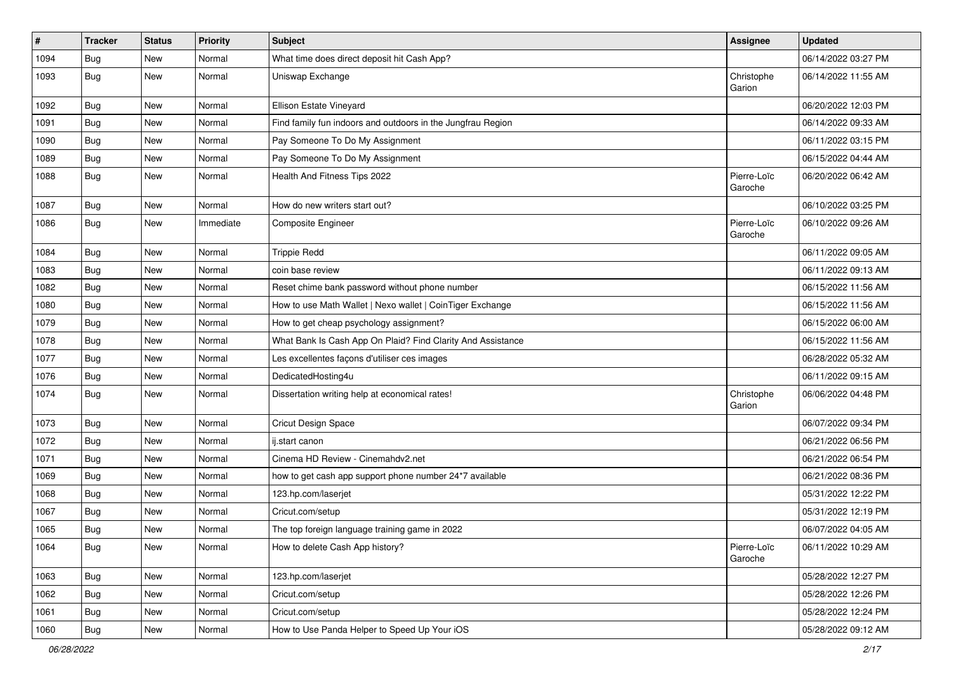| $\vert$ # | <b>Tracker</b> | <b>Status</b> | <b>Priority</b> | <b>Subject</b>                                              | <b>Assignee</b>        | <b>Updated</b>      |
|-----------|----------------|---------------|-----------------|-------------------------------------------------------------|------------------------|---------------------|
| 1094      | Bug            | New           | Normal          | What time does direct deposit hit Cash App?                 |                        | 06/14/2022 03:27 PM |
| 1093      | Bug            | New           | Normal          | Uniswap Exchange                                            | Christophe<br>Garion   | 06/14/2022 11:55 AM |
| 1092      | Bug            | New           | Normal          | Ellison Estate Vineyard                                     |                        | 06/20/2022 12:03 PM |
| 1091      | Bug            | New           | Normal          | Find family fun indoors and outdoors in the Jungfrau Region |                        | 06/14/2022 09:33 AM |
| 1090      | Bug            | New           | Normal          | Pay Someone To Do My Assignment                             |                        | 06/11/2022 03:15 PM |
| 1089      | Bug            | New           | Normal          | Pay Someone To Do My Assignment                             |                        | 06/15/2022 04:44 AM |
| 1088      | Bug            | New           | Normal          | Health And Fitness Tips 2022                                | Pierre-Loïc<br>Garoche | 06/20/2022 06:42 AM |
| 1087      | Bug            | New           | Normal          | How do new writers start out?                               |                        | 06/10/2022 03:25 PM |
| 1086      | Bug            | New           | Immediate       | Composite Engineer                                          | Pierre-Loïc<br>Garoche | 06/10/2022 09:26 AM |
| 1084      | Bug            | New           | Normal          | <b>Trippie Redd</b>                                         |                        | 06/11/2022 09:05 AM |
| 1083      | Bug            | New           | Normal          | coin base review                                            |                        | 06/11/2022 09:13 AM |
| 1082      | Bug            | New           | Normal          | Reset chime bank password without phone number              |                        | 06/15/2022 11:56 AM |
| 1080      | Bug            | New           | Normal          | How to use Math Wallet   Nexo wallet   CoinTiger Exchange   |                        | 06/15/2022 11:56 AM |
| 1079      | Bug            | New           | Normal          | How to get cheap psychology assignment?                     |                        | 06/15/2022 06:00 AM |
| 1078      | Bug            | <b>New</b>    | Normal          | What Bank Is Cash App On Plaid? Find Clarity And Assistance |                        | 06/15/2022 11:56 AM |
| 1077      | Bug            | New           | Normal          | Les excellentes façons d'utiliser ces images                |                        | 06/28/2022 05:32 AM |
| 1076      | <b>Bug</b>     | New           | Normal          | DedicatedHosting4u                                          |                        | 06/11/2022 09:15 AM |
| 1074      | Bug            | New           | Normal          | Dissertation writing help at economical rates!              | Christophe<br>Garion   | 06/06/2022 04:48 PM |
| 1073      | Bug            | New           | Normal          | Cricut Design Space                                         |                        | 06/07/2022 09:34 PM |
| 1072      | Bug            | New           | Normal          | ij.start canon                                              |                        | 06/21/2022 06:56 PM |
| 1071      | Bug            | New           | Normal          | Cinema HD Review - Cinemahdv2.net                           |                        | 06/21/2022 06:54 PM |
| 1069      | Bug            | New           | Normal          | how to get cash app support phone number 24*7 available     |                        | 06/21/2022 08:36 PM |
| 1068      | Bug            | New           | Normal          | 123.hp.com/laserjet                                         |                        | 05/31/2022 12:22 PM |
| 1067      | <b>Bug</b>     | New           | Normal          | Cricut.com/setup                                            |                        | 05/31/2022 12:19 PM |
| 1065      | Bug            | New           | Normal          | The top foreign language training game in 2022              |                        | 06/07/2022 04:05 AM |
| 1064      | <b>Bug</b>     | New           | Normal          | How to delete Cash App history?                             | Pierre-Loïc<br>Garoche | 06/11/2022 10:29 AM |
| 1063      | <b>Bug</b>     | New           | Normal          | 123.hp.com/laserjet                                         |                        | 05/28/2022 12:27 PM |
| 1062      | Bug            | New           | Normal          | Cricut.com/setup                                            |                        | 05/28/2022 12:26 PM |
| 1061      | <b>Bug</b>     | New           | Normal          | Cricut.com/setup                                            |                        | 05/28/2022 12:24 PM |
| 1060      | Bug            | New           | Normal          | How to Use Panda Helper to Speed Up Your iOS                |                        | 05/28/2022 09:12 AM |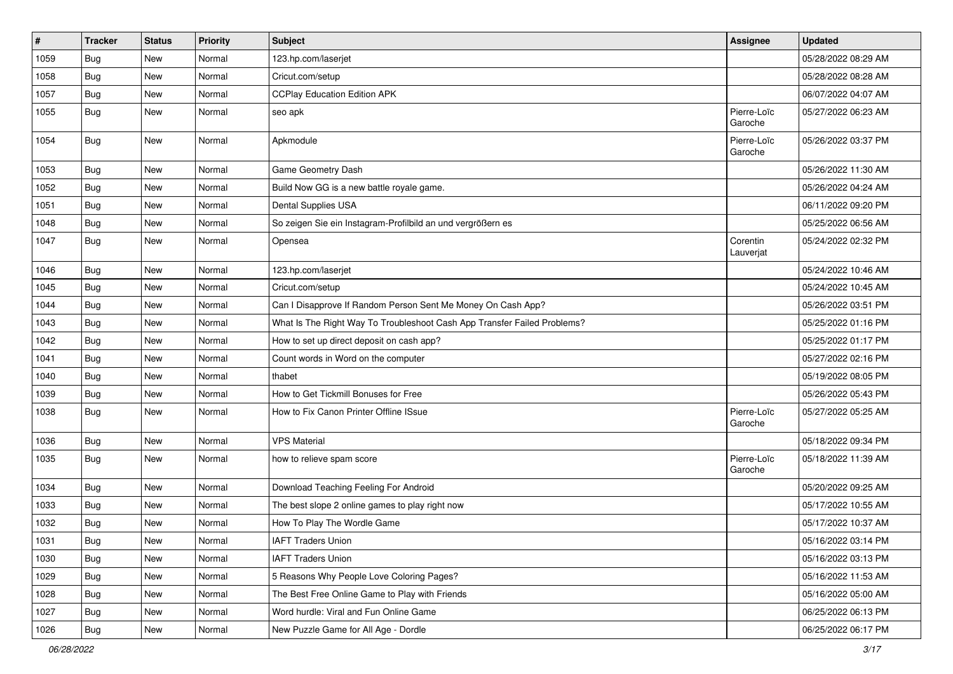| $\vert$ # | <b>Tracker</b> | <b>Status</b> | <b>Priority</b> | <b>Subject</b>                                                           | Assignee               | <b>Updated</b>      |
|-----------|----------------|---------------|-----------------|--------------------------------------------------------------------------|------------------------|---------------------|
| 1059      | Bug            | New           | Normal          | 123.hp.com/laserjet                                                      |                        | 05/28/2022 08:29 AM |
| 1058      | Bug            | New           | Normal          | Cricut.com/setup                                                         |                        | 05/28/2022 08:28 AM |
| 1057      | Bug            | New           | Normal          | <b>CCPlay Education Edition APK</b>                                      |                        | 06/07/2022 04:07 AM |
| 1055      | Bug            | New           | Normal          | seo apk                                                                  | Pierre-Loïc<br>Garoche | 05/27/2022 06:23 AM |
| 1054      | Bug            | New           | Normal          | Apkmodule                                                                | Pierre-Loïc<br>Garoche | 05/26/2022 03:37 PM |
| 1053      | <b>Bug</b>     | New           | Normal          | Game Geometry Dash                                                       |                        | 05/26/2022 11:30 AM |
| 1052      | Bug            | New           | Normal          | Build Now GG is a new battle royale game.                                |                        | 05/26/2022 04:24 AM |
| 1051      | Bug            | New           | Normal          | Dental Supplies USA                                                      |                        | 06/11/2022 09:20 PM |
| 1048      | Bug            | <b>New</b>    | Normal          | So zeigen Sie ein Instagram-Profilbild an und vergrößern es              |                        | 05/25/2022 06:56 AM |
| 1047      | Bug            | New           | Normal          | Opensea                                                                  | Corentin<br>Lauverjat  | 05/24/2022 02:32 PM |
| 1046      | Bug            | New           | Normal          | 123.hp.com/laserjet                                                      |                        | 05/24/2022 10:46 AM |
| 1045      | Bug            | New           | Normal          | Cricut.com/setup                                                         |                        | 05/24/2022 10:45 AM |
| 1044      | <b>Bug</b>     | <b>New</b>    | Normal          | Can I Disapprove If Random Person Sent Me Money On Cash App?             |                        | 05/26/2022 03:51 PM |
| 1043      | Bug            | <b>New</b>    | Normal          | What Is The Right Way To Troubleshoot Cash App Transfer Failed Problems? |                        | 05/25/2022 01:16 PM |
| 1042      | Bug            | New           | Normal          | How to set up direct deposit on cash app?                                |                        | 05/25/2022 01:17 PM |
| 1041      | Bug            | New           | Normal          | Count words in Word on the computer                                      |                        | 05/27/2022 02:16 PM |
| 1040      | Bug            | <b>New</b>    | Normal          | thabet                                                                   |                        | 05/19/2022 08:05 PM |
| 1039      | Bug            | New           | Normal          | How to Get Tickmill Bonuses for Free                                     |                        | 05/26/2022 05:43 PM |
| 1038      | Bug            | New           | Normal          | How to Fix Canon Printer Offline ISsue                                   | Pierre-Loïc<br>Garoche | 05/27/2022 05:25 AM |
| 1036      | Bug            | New           | Normal          | <b>VPS Material</b>                                                      |                        | 05/18/2022 09:34 PM |
| 1035      | Bug            | New           | Normal          | how to relieve spam score                                                | Pierre-Loïc<br>Garoche | 05/18/2022 11:39 AM |
| 1034      | Bug            | <b>New</b>    | Normal          | Download Teaching Feeling For Android                                    |                        | 05/20/2022 09:25 AM |
| 1033      | Bug            | <b>New</b>    | Normal          | The best slope 2 online games to play right now                          |                        | 05/17/2022 10:55 AM |
| 1032      | <b>Bug</b>     | New           | Normal          | How To Play The Wordle Game                                              |                        | 05/17/2022 10:37 AM |
| 1031      | Bug            | New           | Normal          | <b>IAFT Traders Union</b>                                                |                        | 05/16/2022 03:14 PM |
| 1030      | Bug            | New           | Normal          | <b>IAFT Traders Union</b>                                                |                        | 05/16/2022 03:13 PM |
| 1029      | <b>Bug</b>     | New           | Normal          | 5 Reasons Why People Love Coloring Pages?                                |                        | 05/16/2022 11:53 AM |
| 1028      | Bug            | New           | Normal          | The Best Free Online Game to Play with Friends                           |                        | 05/16/2022 05:00 AM |
| 1027      | Bug            | New           | Normal          | Word hurdle: Viral and Fun Online Game                                   |                        | 06/25/2022 06:13 PM |
| 1026      | Bug            | New           | Normal          | New Puzzle Game for All Age - Dordle                                     |                        | 06/25/2022 06:17 PM |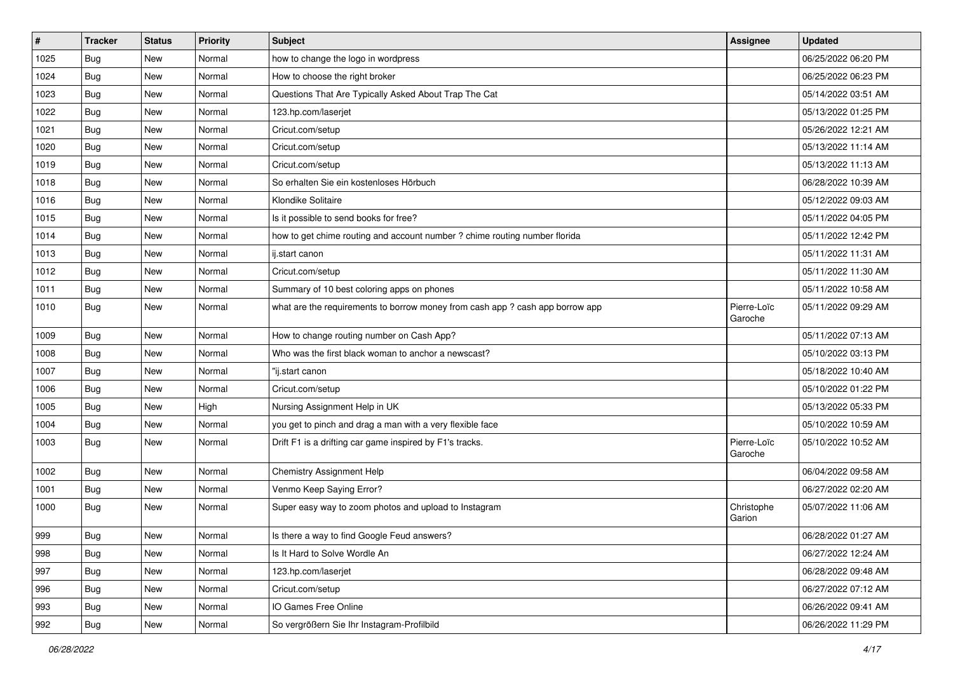| $\vert$ # | <b>Tracker</b> | <b>Status</b> | Priority | <b>Subject</b>                                                                | <b>Assignee</b>        | <b>Updated</b>      |
|-----------|----------------|---------------|----------|-------------------------------------------------------------------------------|------------------------|---------------------|
| 1025      | <b>Bug</b>     | New           | Normal   | how to change the logo in wordpress                                           |                        | 06/25/2022 06:20 PM |
| 1024      | Bug            | New           | Normal   | How to choose the right broker                                                |                        | 06/25/2022 06:23 PM |
| 1023      | Bug            | New           | Normal   | Questions That Are Typically Asked About Trap The Cat                         |                        | 05/14/2022 03:51 AM |
| 1022      | <b>Bug</b>     | New           | Normal   | 123.hp.com/laserjet                                                           |                        | 05/13/2022 01:25 PM |
| 1021      | Bug            | New           | Normal   | Cricut.com/setup                                                              |                        | 05/26/2022 12:21 AM |
| 1020      | Bug            | New           | Normal   | Cricut.com/setup                                                              |                        | 05/13/2022 11:14 AM |
| 1019      | Bug            | New           | Normal   | Cricut.com/setup                                                              |                        | 05/13/2022 11:13 AM |
| 1018      | <b>Bug</b>     | New           | Normal   | So erhalten Sie ein kostenloses Hörbuch                                       |                        | 06/28/2022 10:39 AM |
| 1016      | Bug            | New           | Normal   | Klondike Solitaire                                                            |                        | 05/12/2022 09:03 AM |
| 1015      | Bug            | New           | Normal   | Is it possible to send books for free?                                        |                        | 05/11/2022 04:05 PM |
| 1014      | Bug            | New           | Normal   | how to get chime routing and account number ? chime routing number florida    |                        | 05/11/2022 12:42 PM |
| 1013      | <b>Bug</b>     | New           | Normal   | ij.start canon                                                                |                        | 05/11/2022 11:31 AM |
| 1012      | <b>Bug</b>     | New           | Normal   | Cricut.com/setup                                                              |                        | 05/11/2022 11:30 AM |
| 1011      | Bug            | New           | Normal   | Summary of 10 best coloring apps on phones                                    |                        | 05/11/2022 10:58 AM |
| 1010      | Bug            | New           | Normal   | what are the requirements to borrow money from cash app ? cash app borrow app | Pierre-Loïc<br>Garoche | 05/11/2022 09:29 AM |
| 1009      | Bug            | New           | Normal   | How to change routing number on Cash App?                                     |                        | 05/11/2022 07:13 AM |
| 1008      | Bug            | New           | Normal   | Who was the first black woman to anchor a newscast?                           |                        | 05/10/2022 03:13 PM |
| 1007      | Bug            | New           | Normal   | "ij.start canon                                                               |                        | 05/18/2022 10:40 AM |
| 1006      | Bug            | New           | Normal   | Cricut.com/setup                                                              |                        | 05/10/2022 01:22 PM |
| 1005      | Bug            | New           | High     | Nursing Assignment Help in UK                                                 |                        | 05/13/2022 05:33 PM |
| 1004      | Bug            | New           | Normal   | you get to pinch and drag a man with a very flexible face                     |                        | 05/10/2022 10:59 AM |
| 1003      | <b>Bug</b>     | New           | Normal   | Drift F1 is a drifting car game inspired by F1's tracks.                      | Pierre-Loïc<br>Garoche | 05/10/2022 10:52 AM |
| 1002      | Bug            | New           | Normal   | Chemistry Assignment Help                                                     |                        | 06/04/2022 09:58 AM |
| 1001      | Bug            | New           | Normal   | Venmo Keep Saying Error?                                                      |                        | 06/27/2022 02:20 AM |
| 1000      | <b>Bug</b>     | New           | Normal   | Super easy way to zoom photos and upload to Instagram                         | Christophe<br>Garion   | 05/07/2022 11:06 AM |
| 999       | Bug            | New           | Normal   | Is there a way to find Google Feud answers?                                   |                        | 06/28/2022 01:27 AM |
| 998       | <b>Bug</b>     | New           | Normal   | Is It Hard to Solve Wordle An                                                 |                        | 06/27/2022 12:24 AM |
| 997       | Bug            | New           | Normal   | 123.hp.com/laserjet                                                           |                        | 06/28/2022 09:48 AM |
| 996       | Bug            | New           | Normal   | Cricut.com/setup                                                              |                        | 06/27/2022 07:12 AM |
| 993       | <b>Bug</b>     | New           | Normal   | IO Games Free Online                                                          |                        | 06/26/2022 09:41 AM |
| 992       | Bug            | New           | Normal   | So vergrößern Sie Ihr Instagram-Profilbild                                    |                        | 06/26/2022 11:29 PM |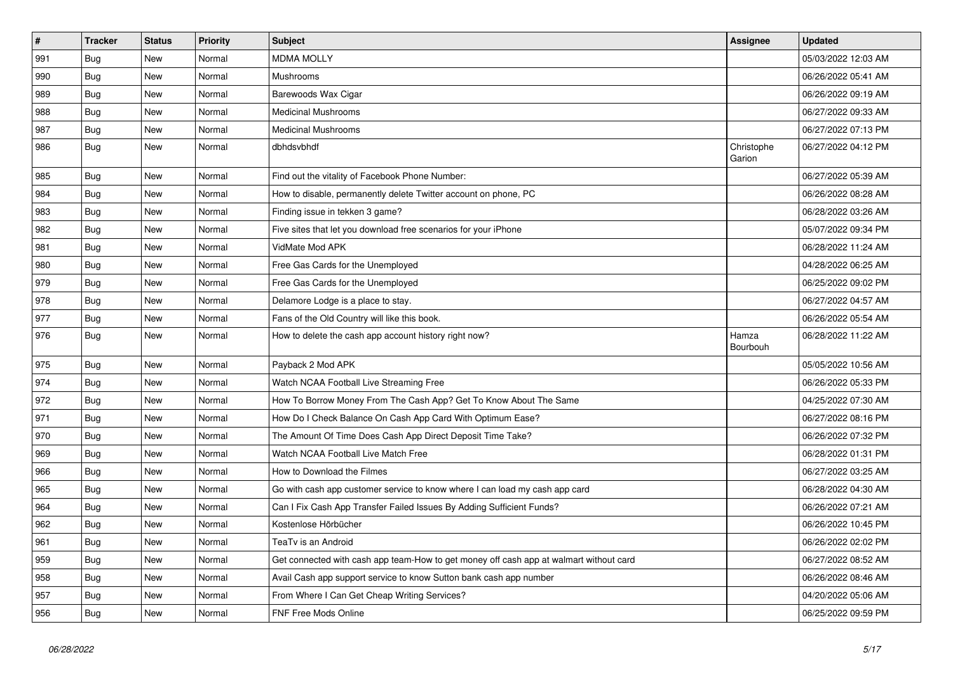| $\vert$ # | <b>Tracker</b> | <b>Status</b> | <b>Priority</b> | <b>Subject</b>                                                                         | <b>Assignee</b>      | <b>Updated</b>      |
|-----------|----------------|---------------|-----------------|----------------------------------------------------------------------------------------|----------------------|---------------------|
| 991       | <b>Bug</b>     | New           | Normal          | <b>MDMA MOLLY</b>                                                                      |                      | 05/03/2022 12:03 AM |
| 990       | Bug            | New           | Normal          | Mushrooms                                                                              |                      | 06/26/2022 05:41 AM |
| 989       | Bug            | New           | Normal          | Barewoods Wax Cigar                                                                    |                      | 06/26/2022 09:19 AM |
| 988       | <b>Bug</b>     | New           | Normal          | <b>Medicinal Mushrooms</b>                                                             |                      | 06/27/2022 09:33 AM |
| 987       | Bug            | New           | Normal          | <b>Medicinal Mushrooms</b>                                                             |                      | 06/27/2022 07:13 PM |
| 986       | Bug            | New           | Normal          | dbhdsvbhdf                                                                             | Christophe<br>Garion | 06/27/2022 04:12 PM |
| 985       | Bug            | <b>New</b>    | Normal          | Find out the vitality of Facebook Phone Number:                                        |                      | 06/27/2022 05:39 AM |
| 984       | Bug            | New           | Normal          | How to disable, permanently delete Twitter account on phone, PC                        |                      | 06/26/2022 08:28 AM |
| 983       | <b>Bug</b>     | New           | Normal          | Finding issue in tekken 3 game?                                                        |                      | 06/28/2022 03:26 AM |
| 982       | Bug            | New           | Normal          | Five sites that let you download free scenarios for your iPhone                        |                      | 05/07/2022 09:34 PM |
| 981       | <b>Bug</b>     | New           | Normal          | VidMate Mod APK                                                                        |                      | 06/28/2022 11:24 AM |
| 980       | Bug            | <b>New</b>    | Normal          | Free Gas Cards for the Unemployed                                                      |                      | 04/28/2022 06:25 AM |
| 979       | <b>Bug</b>     | <b>New</b>    | Normal          | Free Gas Cards for the Unemployed                                                      |                      | 06/25/2022 09:02 PM |
| 978       | Bug            | New           | Normal          | Delamore Lodge is a place to stay.                                                     |                      | 06/27/2022 04:57 AM |
| 977       | Bug            | New           | Normal          | Fans of the Old Country will like this book.                                           |                      | 06/26/2022 05:54 AM |
| 976       | Bug            | New           | Normal          | How to delete the cash app account history right now?                                  | Hamza<br>Bourbouh    | 06/28/2022 11:22 AM |
| 975       | <b>Bug</b>     | New           | Normal          | Payback 2 Mod APK                                                                      |                      | 05/05/2022 10:56 AM |
| 974       | <b>Bug</b>     | <b>New</b>    | Normal          | Watch NCAA Football Live Streaming Free                                                |                      | 06/26/2022 05:33 PM |
| 972       | Bug            | <b>New</b>    | Normal          | How To Borrow Money From The Cash App? Get To Know About The Same                      |                      | 04/25/2022 07:30 AM |
| 971       | Bug            | New           | Normal          | How Do I Check Balance On Cash App Card With Optimum Ease?                             |                      | 06/27/2022 08:16 PM |
| 970       | Bug            | New           | Normal          | The Amount Of Time Does Cash App Direct Deposit Time Take?                             |                      | 06/26/2022 07:32 PM |
| 969       | <b>Bug</b>     | New           | Normal          | Watch NCAA Football Live Match Free                                                    |                      | 06/28/2022 01:31 PM |
| 966       | Bug            | New           | Normal          | How to Download the Filmes                                                             |                      | 06/27/2022 03:25 AM |
| 965       | Bug            | New           | Normal          | Go with cash app customer service to know where I can load my cash app card            |                      | 06/28/2022 04:30 AM |
| 964       | <b>Bug</b>     | New           | Normal          | Can I Fix Cash App Transfer Failed Issues By Adding Sufficient Funds?                  |                      | 06/26/2022 07:21 AM |
| 962       | Bug            | New           | Normal          | Kostenlose Hörbücher                                                                   |                      | 06/26/2022 10:45 PM |
| 961       | Bug            | New           | Normal          | TeaTv is an Android                                                                    |                      | 06/26/2022 02:02 PM |
| 959       | Bug            | New           | Normal          | Get connected with cash app team-How to get money off cash app at walmart without card |                      | 06/27/2022 08:52 AM |
| 958       | Bug            | New           | Normal          | Avail Cash app support service to know Sutton bank cash app number                     |                      | 06/26/2022 08:46 AM |
| 957       | Bug            | New           | Normal          | From Where I Can Get Cheap Writing Services?                                           |                      | 04/20/2022 05:06 AM |
| 956       | <b>Bug</b>     | <b>New</b>    | Normal          | <b>FNF Free Mods Online</b>                                                            |                      | 06/25/2022 09:59 PM |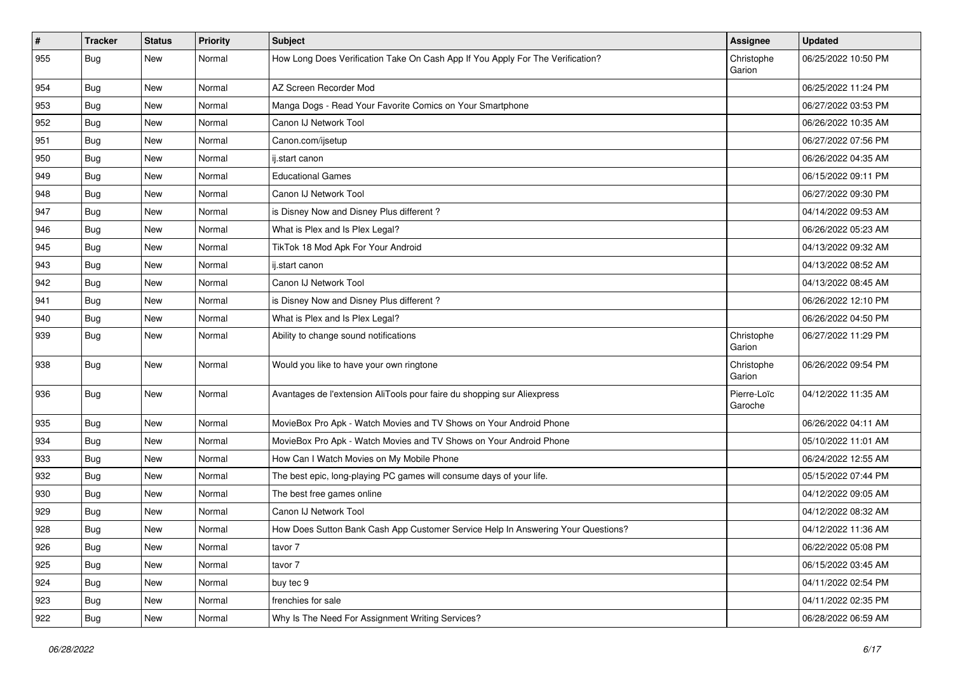| #   | <b>Tracker</b> | <b>Status</b> | Priority | Subject                                                                          | Assignee               | <b>Updated</b>      |
|-----|----------------|---------------|----------|----------------------------------------------------------------------------------|------------------------|---------------------|
| 955 | <b>Bug</b>     | New           | Normal   | How Long Does Verification Take On Cash App If You Apply For The Verification?   | Christophe<br>Garion   | 06/25/2022 10:50 PM |
| 954 | Bug            | <b>New</b>    | Normal   | AZ Screen Recorder Mod                                                           |                        | 06/25/2022 11:24 PM |
| 953 | Bug            | New           | Normal   | Manga Dogs - Read Your Favorite Comics on Your Smartphone                        |                        | 06/27/2022 03:53 PM |
| 952 | Bug            | New           | Normal   | Canon IJ Network Tool                                                            |                        | 06/26/2022 10:35 AM |
| 951 | <b>Bug</b>     | New           | Normal   | Canon.com/ijsetup                                                                |                        | 06/27/2022 07:56 PM |
| 950 | Bug            | New           | Normal   | ij.start canon                                                                   |                        | 06/26/2022 04:35 AM |
| 949 | Bug            | <b>New</b>    | Normal   | <b>Educational Games</b>                                                         |                        | 06/15/2022 09:11 PM |
| 948 | <b>Bug</b>     | New           | Normal   | Canon IJ Network Tool                                                            |                        | 06/27/2022 09:30 PM |
| 947 | <b>Bug</b>     | New           | Normal   | is Disney Now and Disney Plus different?                                         |                        | 04/14/2022 09:53 AM |
| 946 | Bug            | New           | Normal   | What is Plex and Is Plex Legal?                                                  |                        | 06/26/2022 05:23 AM |
| 945 | <b>Bug</b>     | New           | Normal   | TikTok 18 Mod Apk For Your Android                                               |                        | 04/13/2022 09:32 AM |
| 943 | Bug            | <b>New</b>    | Normal   | ij.start canon                                                                   |                        | 04/13/2022 08:52 AM |
| 942 | <b>Bug</b>     | New           | Normal   | Canon IJ Network Tool                                                            |                        | 04/13/2022 08:45 AM |
| 941 | Bug            | New           | Normal   | is Disney Now and Disney Plus different?                                         |                        | 06/26/2022 12:10 PM |
| 940 | <b>Bug</b>     | New           | Normal   | What is Plex and Is Plex Legal?                                                  |                        | 06/26/2022 04:50 PM |
| 939 | <b>Bug</b>     | New           | Normal   | Ability to change sound notifications                                            | Christophe<br>Garion   | 06/27/2022 11:29 PM |
| 938 | Bug            | <b>New</b>    | Normal   | Would you like to have your own ringtone                                         | Christophe<br>Garion   | 06/26/2022 09:54 PM |
| 936 | Bug            | <b>New</b>    | Normal   | Avantages de l'extension AliTools pour faire du shopping sur Aliexpress          | Pierre-Loïc<br>Garoche | 04/12/2022 11:35 AM |
| 935 | <b>Bug</b>     | New           | Normal   | MovieBox Pro Apk - Watch Movies and TV Shows on Your Android Phone               |                        | 06/26/2022 04:11 AM |
| 934 | Bug            | <b>New</b>    | Normal   | MovieBox Pro Apk - Watch Movies and TV Shows on Your Android Phone               |                        | 05/10/2022 11:01 AM |
| 933 | <b>Bug</b>     | New           | Normal   | How Can I Watch Movies on My Mobile Phone                                        |                        | 06/24/2022 12:55 AM |
| 932 | <b>Bug</b>     | New           | Normal   | The best epic, long-playing PC games will consume days of your life.             |                        | 05/15/2022 07:44 PM |
| 930 | <b>Bug</b>     | New           | Normal   | The best free games online                                                       |                        | 04/12/2022 09:05 AM |
| 929 | <b>Bug</b>     | New           | Normal   | Canon IJ Network Tool                                                            |                        | 04/12/2022 08:32 AM |
| 928 | <b>Bug</b>     | <b>New</b>    | Normal   | How Does Sutton Bank Cash App Customer Service Help In Answering Your Questions? |                        | 04/12/2022 11:36 AM |
| 926 | Bug            | New           | Normal   | tavor 7                                                                          |                        | 06/22/2022 05:08 PM |
| 925 | Bug            | New           | Normal   | tavor 7                                                                          |                        | 06/15/2022 03:45 AM |
| 924 | Bug            | New           | Normal   | buy tec 9                                                                        |                        | 04/11/2022 02:54 PM |
| 923 | Bug            | New           | Normal   | frenchies for sale                                                               |                        | 04/11/2022 02:35 PM |
| 922 | <b>Bug</b>     | New           | Normal   | Why Is The Need For Assignment Writing Services?                                 |                        | 06/28/2022 06:59 AM |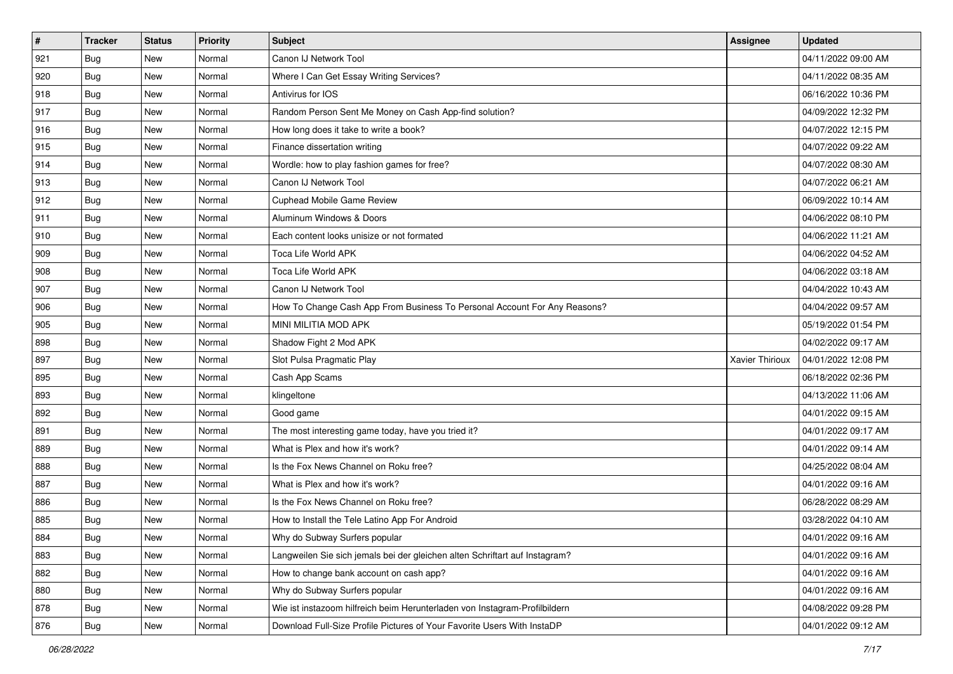| #   | <b>Tracker</b> | <b>Status</b> | Priority | <b>Subject</b>                                                              | Assignee        | <b>Updated</b>      |
|-----|----------------|---------------|----------|-----------------------------------------------------------------------------|-----------------|---------------------|
| 921 | Bug            | New           | Normal   | Canon IJ Network Tool                                                       |                 | 04/11/2022 09:00 AM |
| 920 | <b>Bug</b>     | New           | Normal   | Where I Can Get Essay Writing Services?                                     |                 | 04/11/2022 08:35 AM |
| 918 | <b>Bug</b>     | New           | Normal   | Antivirus for IOS                                                           |                 | 06/16/2022 10:36 PM |
| 917 | <b>Bug</b>     | New           | Normal   | Random Person Sent Me Money on Cash App-find solution?                      |                 | 04/09/2022 12:32 PM |
| 916 | Bug            | <b>New</b>    | Normal   | How long does it take to write a book?                                      |                 | 04/07/2022 12:15 PM |
| 915 | Bug            | New           | Normal   | Finance dissertation writing                                                |                 | 04/07/2022 09:22 AM |
| 914 | <b>Bug</b>     | New           | Normal   | Wordle: how to play fashion games for free?                                 |                 | 04/07/2022 08:30 AM |
| 913 | <b>Bug</b>     | New           | Normal   | Canon IJ Network Tool                                                       |                 | 04/07/2022 06:21 AM |
| 912 | <b>Bug</b>     | New           | Normal   | <b>Cuphead Mobile Game Review</b>                                           |                 | 06/09/2022 10:14 AM |
| 911 | Bug            | <b>New</b>    | Normal   | Aluminum Windows & Doors                                                    |                 | 04/06/2022 08:10 PM |
| 910 | Bug            | New           | Normal   | Each content looks unisize or not formated                                  |                 | 04/06/2022 11:21 AM |
| 909 | Bug            | New           | Normal   | Toca Life World APK                                                         |                 | 04/06/2022 04:52 AM |
| 908 | Bug            | <b>New</b>    | Normal   | Toca Life World APK                                                         |                 | 04/06/2022 03:18 AM |
| 907 | <b>Bug</b>     | <b>New</b>    | Normal   | Canon IJ Network Tool                                                       |                 | 04/04/2022 10:43 AM |
| 906 | <b>Bug</b>     | New           | Normal   | How To Change Cash App From Business To Personal Account For Any Reasons?   |                 | 04/04/2022 09:57 AM |
| 905 | Bug            | New           | Normal   | MINI MILITIA MOD APK                                                        |                 | 05/19/2022 01:54 PM |
| 898 | <b>Bug</b>     | New           | Normal   | Shadow Fight 2 Mod APK                                                      |                 | 04/02/2022 09:17 AM |
| 897 | Bug            | <b>New</b>    | Normal   | Slot Pulsa Pragmatic Play                                                   | Xavier Thirioux | 04/01/2022 12:08 PM |
| 895 | <b>Bug</b>     | New           | Normal   | Cash App Scams                                                              |                 | 06/18/2022 02:36 PM |
| 893 | Bug            | New           | Normal   | klingeltone                                                                 |                 | 04/13/2022 11:06 AM |
| 892 | <b>Bug</b>     | New           | Normal   | Good game                                                                   |                 | 04/01/2022 09:15 AM |
| 891 | Bug            | New           | Normal   | The most interesting game today, have you tried it?                         |                 | 04/01/2022 09:17 AM |
| 889 | Bug            | <b>New</b>    | Normal   | What is Plex and how it's work?                                             |                 | 04/01/2022 09:14 AM |
| 888 | Bug            | New           | Normal   | Is the Fox News Channel on Roku free?                                       |                 | 04/25/2022 08:04 AM |
| 887 | <b>Bug</b>     | New           | Normal   | What is Plex and how it's work?                                             |                 | 04/01/2022 09:16 AM |
| 886 | Bug            | New           | Normal   | Is the Fox News Channel on Roku free?                                       |                 | 06/28/2022 08:29 AM |
| 885 | <b>Bug</b>     | New           | Normal   | How to Install the Tele Latino App For Android                              |                 | 03/28/2022 04:10 AM |
| 884 | <b>Bug</b>     | New           | Normal   | Why do Subway Surfers popular                                               |                 | 04/01/2022 09:16 AM |
| 883 | <b>Bug</b>     | New           | Normal   | Langweilen Sie sich jemals bei der gleichen alten Schriftart auf Instagram? |                 | 04/01/2022 09:16 AM |
| 882 | Bug            | New           | Normal   | How to change bank account on cash app?                                     |                 | 04/01/2022 09:16 AM |
| 880 | Bug            | New           | Normal   | Why do Subway Surfers popular                                               |                 | 04/01/2022 09:16 AM |
| 878 | <b>Bug</b>     | New           | Normal   | Wie ist instazoom hilfreich beim Herunterladen von Instagram-Profilbildern  |                 | 04/08/2022 09:28 PM |
| 876 | Bug            | New           | Normal   | Download Full-Size Profile Pictures of Your Favorite Users With InstaDP     |                 | 04/01/2022 09:12 AM |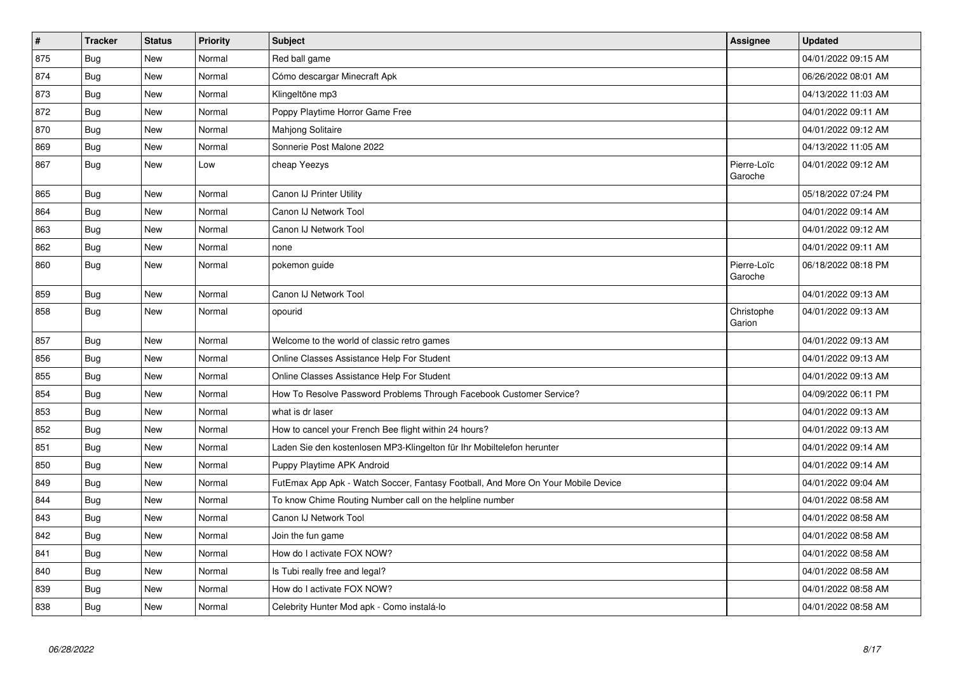| $\vert$ # | <b>Tracker</b> | <b>Status</b> | Priority | Subject                                                                          | <b>Assignee</b>        | <b>Updated</b>      |
|-----------|----------------|---------------|----------|----------------------------------------------------------------------------------|------------------------|---------------------|
| 875       | <b>Bug</b>     | New           | Normal   | Red ball game                                                                    |                        | 04/01/2022 09:15 AM |
| 874       | <b>Bug</b>     | <b>New</b>    | Normal   | Cómo descargar Minecraft Apk                                                     |                        | 06/26/2022 08:01 AM |
| 873       | Bug            | New           | Normal   | Klingeltöne mp3                                                                  |                        | 04/13/2022 11:03 AM |
| 872       | Bug            | New           | Normal   | Poppy Playtime Horror Game Free                                                  |                        | 04/01/2022 09:11 AM |
| 870       | <b>Bug</b>     | New           | Normal   | Mahjong Solitaire                                                                |                        | 04/01/2022 09:12 AM |
| 869       | <b>Bug</b>     | New           | Normal   | Sonnerie Post Malone 2022                                                        |                        | 04/13/2022 11:05 AM |
| 867       | Bug            | New           | Low      | cheap Yeezys                                                                     | Pierre-Loïc<br>Garoche | 04/01/2022 09:12 AM |
| 865       | Bug            | New           | Normal   | Canon IJ Printer Utility                                                         |                        | 05/18/2022 07:24 PM |
| 864       | Bug            | New           | Normal   | Canon IJ Network Tool                                                            |                        | 04/01/2022 09:14 AM |
| 863       | <b>Bug</b>     | New           | Normal   | Canon IJ Network Tool                                                            |                        | 04/01/2022 09:12 AM |
| 862       | Bug            | New           | Normal   | none                                                                             |                        | 04/01/2022 09:11 AM |
| 860       | Bug            | New           | Normal   | pokemon guide                                                                    | Pierre-Loïc<br>Garoche | 06/18/2022 08:18 PM |
| 859       | Bug            | New           | Normal   | Canon IJ Network Tool                                                            |                        | 04/01/2022 09:13 AM |
| 858       | Bug            | <b>New</b>    | Normal   | opourid                                                                          | Christophe<br>Garion   | 04/01/2022 09:13 AM |
| 857       | Bug            | New           | Normal   | Welcome to the world of classic retro games                                      |                        | 04/01/2022 09:13 AM |
| 856       | <b>Bug</b>     | New           | Normal   | Online Classes Assistance Help For Student                                       |                        | 04/01/2022 09:13 AM |
| 855       | Bug            | New           | Normal   | Online Classes Assistance Help For Student                                       |                        | 04/01/2022 09:13 AM |
| 854       | Bug            | New           | Normal   | How To Resolve Password Problems Through Facebook Customer Service?              |                        | 04/09/2022 06:11 PM |
| 853       | Bug            | New           | Normal   | what is dr laser                                                                 |                        | 04/01/2022 09:13 AM |
| 852       | <b>Bug</b>     | New           | Normal   | How to cancel your French Bee flight within 24 hours?                            |                        | 04/01/2022 09:13 AM |
| 851       | Bug            | New           | Normal   | Laden Sie den kostenlosen MP3-Klingelton für Ihr Mobiltelefon herunter           |                        | 04/01/2022 09:14 AM |
| 850       | Bug            | <b>New</b>    | Normal   | Puppy Playtime APK Android                                                       |                        | 04/01/2022 09:14 AM |
| 849       | <b>Bug</b>     | New           | Normal   | FutEmax App Apk - Watch Soccer, Fantasy Football, And More On Your Mobile Device |                        | 04/01/2022 09:04 AM |
| 844       | Bug            | <b>New</b>    | Normal   | To know Chime Routing Number call on the helpline number                         |                        | 04/01/2022 08:58 AM |
| 843       | <b>Bug</b>     | New           | Normal   | Canon IJ Network Tool                                                            |                        | 04/01/2022 08:58 AM |
| 842       | <b>Bug</b>     | New           | Normal   | Join the fun game                                                                |                        | 04/01/2022 08:58 AM |
| 841       | Bug            | <b>New</b>    | Normal   | How do I activate FOX NOW?                                                       |                        | 04/01/2022 08:58 AM |
| 840       | <b>Bug</b>     | New           | Normal   | Is Tubi really free and legal?                                                   |                        | 04/01/2022 08:58 AM |
| 839       | Bug            | New           | Normal   | How do I activate FOX NOW?                                                       |                        | 04/01/2022 08:58 AM |
| 838       | Bug            | New           | Normal   | Celebrity Hunter Mod apk - Como instalá-lo                                       |                        | 04/01/2022 08:58 AM |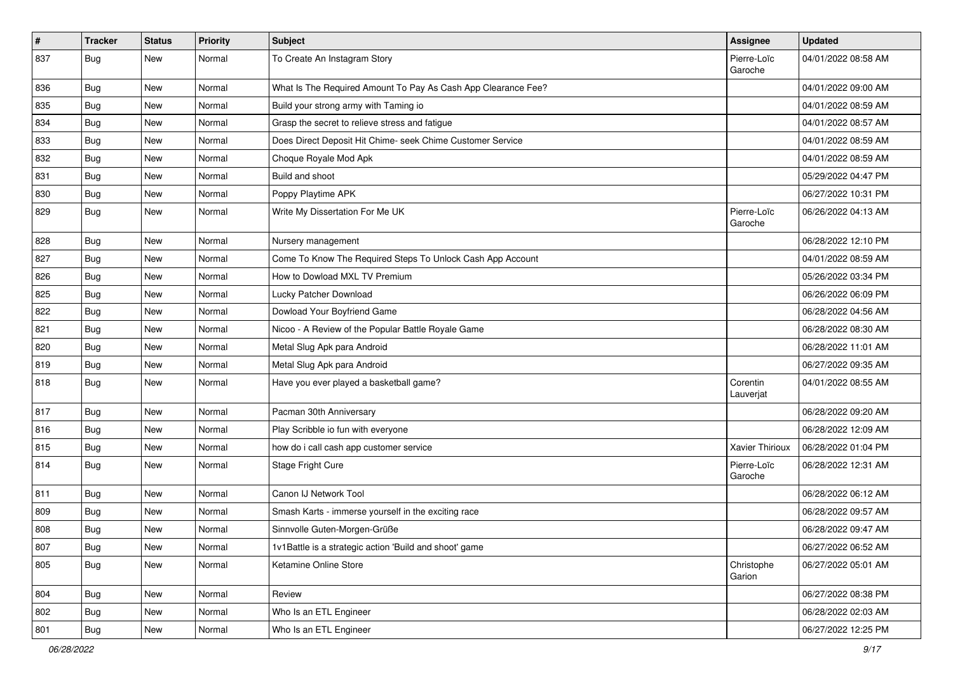| $\vert$ # | <b>Tracker</b> | <b>Status</b> | <b>Priority</b> | <b>Subject</b>                                                | Assignee               | <b>Updated</b>      |
|-----------|----------------|---------------|-----------------|---------------------------------------------------------------|------------------------|---------------------|
| 837       | <b>Bug</b>     | New           | Normal          | To Create An Instagram Story                                  | Pierre-Loïc<br>Garoche | 04/01/2022 08:58 AM |
| 836       | Bug            | <b>New</b>    | Normal          | What Is The Required Amount To Pay As Cash App Clearance Fee? |                        | 04/01/2022 09:00 AM |
| 835       | Bug            | New           | Normal          | Build your strong army with Taming io                         |                        | 04/01/2022 08:59 AM |
| 834       | Bug            | <b>New</b>    | Normal          | Grasp the secret to relieve stress and fatigue                |                        | 04/01/2022 08:57 AM |
| 833       | Bug            | <b>New</b>    | Normal          | Does Direct Deposit Hit Chime- seek Chime Customer Service    |                        | 04/01/2022 08:59 AM |
| 832       | Bug            | New           | Normal          | Choque Royale Mod Apk                                         |                        | 04/01/2022 08:59 AM |
| 831       | Bug            | <b>New</b>    | Normal          | Build and shoot                                               |                        | 05/29/2022 04:47 PM |
| 830       | Bug            | New           | Normal          | Poppy Playtime APK                                            |                        | 06/27/2022 10:31 PM |
| 829       | Bug            | New           | Normal          | Write My Dissertation For Me UK                               | Pierre-Loïc<br>Garoche | 06/26/2022 04:13 AM |
| 828       | Bug            | <b>New</b>    | Normal          | Nursery management                                            |                        | 06/28/2022 12:10 PM |
| 827       | Bug            | New           | Normal          | Come To Know The Required Steps To Unlock Cash App Account    |                        | 04/01/2022 08:59 AM |
| 826       | Bug            | <b>New</b>    | Normal          | How to Dowload MXL TV Premium                                 |                        | 05/26/2022 03:34 PM |
| 825       | Bug            | New           | Normal          | Lucky Patcher Download                                        |                        | 06/26/2022 06:09 PM |
| 822       | Bug            | <b>New</b>    | Normal          | Dowload Your Boyfriend Game                                   |                        | 06/28/2022 04:56 AM |
| 821       | Bug            | New           | Normal          | Nicoo - A Review of the Popular Battle Royale Game            |                        | 06/28/2022 08:30 AM |
| 820       | Bug            | <b>New</b>    | Normal          | Metal Slug Apk para Android                                   |                        | 06/28/2022 11:01 AM |
| 819       | Bug            | New           | Normal          | Metal Slug Apk para Android                                   |                        | 06/27/2022 09:35 AM |
| 818       | Bug            | New           | Normal          | Have you ever played a basketball game?                       | Corentin<br>Lauverjat  | 04/01/2022 08:55 AM |
| 817       | <b>Bug</b>     | <b>New</b>    | Normal          | Pacman 30th Anniversary                                       |                        | 06/28/2022 09:20 AM |
| 816       | <b>Bug</b>     | <b>New</b>    | Normal          | Play Scribble io fun with everyone                            |                        | 06/28/2022 12:09 AM |
| 815       | Bug            | <b>New</b>    | Normal          | how do i call cash app customer service                       | Xavier Thirioux        | 06/28/2022 01:04 PM |
| 814       | Bug            | New           | Normal          | Stage Fright Cure                                             | Pierre-Loïc<br>Garoche | 06/28/2022 12:31 AM |
| 811       | Bug            | <b>New</b>    | Normal          | Canon IJ Network Tool                                         |                        | 06/28/2022 06:12 AM |
| 809       | Bug            | New           | Normal          | Smash Karts - immerse yourself in the exciting race           |                        | 06/28/2022 09:57 AM |
| 808       | <b>Bug</b>     | New           | Normal          | Sinnvolle Guten-Morgen-Grüße                                  |                        | 06/28/2022 09:47 AM |
| 807       | <b>Bug</b>     | New           | Normal          | 1v1Battle is a strategic action 'Build and shoot' game        |                        | 06/27/2022 06:52 AM |
| 805       | <b>Bug</b>     | New           | Normal          | Ketamine Online Store                                         | Christophe<br>Garion   | 06/27/2022 05:01 AM |
| 804       | Bug            | <b>New</b>    | Normal          | Review                                                        |                        | 06/27/2022 08:38 PM |
| 802       | <b>Bug</b>     | <b>New</b>    | Normal          | Who Is an ETL Engineer                                        |                        | 06/28/2022 02:03 AM |
| 801       | Bug            | New           | Normal          | Who Is an ETL Engineer                                        |                        | 06/27/2022 12:25 PM |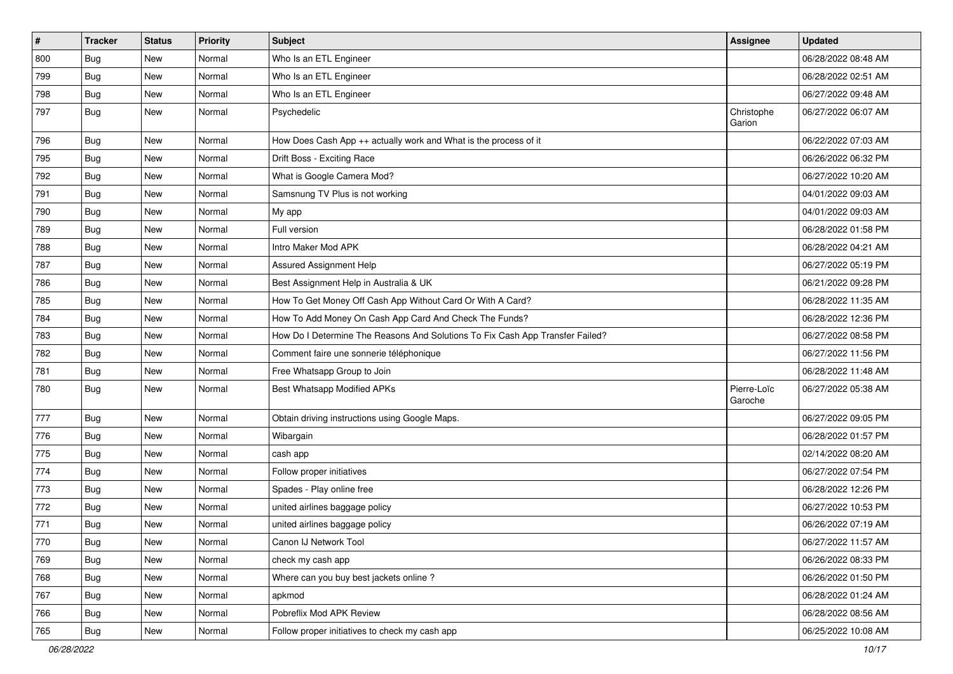| $\vert$ # | <b>Tracker</b> | <b>Status</b> | Priority | <b>Subject</b>                                                                | Assignee               | <b>Updated</b>      |
|-----------|----------------|---------------|----------|-------------------------------------------------------------------------------|------------------------|---------------------|
| 800       | Bug            | New           | Normal   | Who Is an ETL Engineer                                                        |                        | 06/28/2022 08:48 AM |
| 799       | Bug            | New           | Normal   | Who Is an ETL Engineer                                                        |                        | 06/28/2022 02:51 AM |
| 798       | Bug            | <b>New</b>    | Normal   | Who Is an ETL Engineer                                                        |                        | 06/27/2022 09:48 AM |
| 797       | Bug            | New           | Normal   | Psychedelic                                                                   | Christophe<br>Garion   | 06/27/2022 06:07 AM |
| 796       | Bug            | <b>New</b>    | Normal   | How Does Cash App ++ actually work and What is the process of it              |                        | 06/22/2022 07:03 AM |
| 795       | <b>Bug</b>     | New           | Normal   | Drift Boss - Exciting Race                                                    |                        | 06/26/2022 06:32 PM |
| 792       | Bug            | <b>New</b>    | Normal   | What is Google Camera Mod?                                                    |                        | 06/27/2022 10:20 AM |
| 791       | Bug            | <b>New</b>    | Normal   | Samsnung TV Plus is not working                                               |                        | 04/01/2022 09:03 AM |
| 790       | <b>Bug</b>     | <b>New</b>    | Normal   | My app                                                                        |                        | 04/01/2022 09:03 AM |
| 789       | Bug            | <b>New</b>    | Normal   | Full version                                                                  |                        | 06/28/2022 01:58 PM |
| 788       | <b>Bug</b>     | New           | Normal   | Intro Maker Mod APK                                                           |                        | 06/28/2022 04:21 AM |
| 787       | <b>Bug</b>     | <b>New</b>    | Normal   | Assured Assignment Help                                                       |                        | 06/27/2022 05:19 PM |
| 786       | <b>Bug</b>     | New           | Normal   | Best Assignment Help in Australia & UK                                        |                        | 06/21/2022 09:28 PM |
| 785       | Bug            | <b>New</b>    | Normal   | How To Get Money Off Cash App Without Card Or With A Card?                    |                        | 06/28/2022 11:35 AM |
| 784       | Bug            | New           | Normal   | How To Add Money On Cash App Card And Check The Funds?                        |                        | 06/28/2022 12:36 PM |
| 783       | Bug            | New           | Normal   | How Do I Determine The Reasons And Solutions To Fix Cash App Transfer Failed? |                        | 06/27/2022 08:58 PM |
| 782       | Bug            | <b>New</b>    | Normal   | Comment faire une sonnerie téléphonique                                       |                        | 06/27/2022 11:56 PM |
| 781       | Bug            | <b>New</b>    | Normal   | Free Whatsapp Group to Join                                                   |                        | 06/28/2022 11:48 AM |
| 780       | Bug            | New           | Normal   | <b>Best Whatsapp Modified APKs</b>                                            | Pierre-Loïc<br>Garoche | 06/27/2022 05:38 AM |
| 777       | Bug            | <b>New</b>    | Normal   | Obtain driving instructions using Google Maps.                                |                        | 06/27/2022 09:05 PM |
| 776       | Bug            | <b>New</b>    | Normal   | Wibargain                                                                     |                        | 06/28/2022 01:57 PM |
| 775       | Bug            | New           | Normal   | cash app                                                                      |                        | 02/14/2022 08:20 AM |
| 774       | Bug            | New           | Normal   | Follow proper initiatives                                                     |                        | 06/27/2022 07:54 PM |
| 773       | Bug            | <b>New</b>    | Normal   | Spades - Play online free                                                     |                        | 06/28/2022 12:26 PM |
| 772       | <b>Bug</b>     | New           | Normal   | united airlines baggage policy                                                |                        | 06/27/2022 10:53 PM |
| 771       | Bug            | <b>New</b>    | Normal   | united airlines baggage policy                                                |                        | 06/26/2022 07:19 AM |
| 770       | Bug            | New           | Normal   | Canon IJ Network Tool                                                         |                        | 06/27/2022 11:57 AM |
| 769       | Bug            | New           | Normal   | check my cash app                                                             |                        | 06/26/2022 08:33 PM |
| 768       | Bug            | <b>New</b>    | Normal   | Where can you buy best jackets online?                                        |                        | 06/26/2022 01:50 PM |
| 767       | <b>Bug</b>     | New           | Normal   | apkmod                                                                        |                        | 06/28/2022 01:24 AM |
| 766       | Bug            | New           | Normal   | Pobreflix Mod APK Review                                                      |                        | 06/28/2022 08:56 AM |
| 765       | Bug            | New           | Normal   | Follow proper initiatives to check my cash app                                |                        | 06/25/2022 10:08 AM |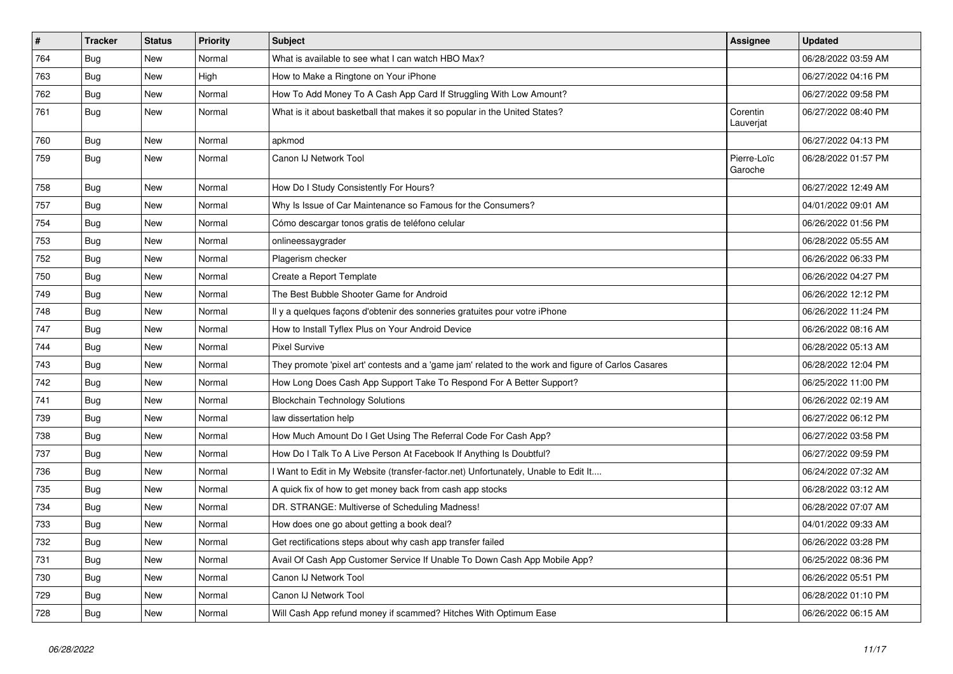| $\vert$ # | <b>Tracker</b> | <b>Status</b> | <b>Priority</b> | <b>Subject</b>                                                                                      | Assignee               | <b>Updated</b>      |
|-----------|----------------|---------------|-----------------|-----------------------------------------------------------------------------------------------------|------------------------|---------------------|
| 764       | Bug            | <b>New</b>    | Normal          | What is available to see what I can watch HBO Max?                                                  |                        | 06/28/2022 03:59 AM |
| 763       | Bug            | <b>New</b>    | High            | How to Make a Ringtone on Your iPhone                                                               |                        | 06/27/2022 04:16 PM |
| 762       | Bug            | <b>New</b>    | Normal          | How To Add Money To A Cash App Card If Struggling With Low Amount?                                  |                        | 06/27/2022 09:58 PM |
| 761       | Bug            | <b>New</b>    | Normal          | What is it about basketball that makes it so popular in the United States?                          | Corentin<br>Lauverjat  | 06/27/2022 08:40 PM |
| 760       | Bug            | <b>New</b>    | Normal          | apkmod                                                                                              |                        | 06/27/2022 04:13 PM |
| 759       | Bug            | <b>New</b>    | Normal          | Canon IJ Network Tool                                                                               | Pierre-Loïc<br>Garoche | 06/28/2022 01:57 PM |
| 758       | Bug            | <b>New</b>    | Normal          | How Do I Study Consistently For Hours?                                                              |                        | 06/27/2022 12:49 AM |
| 757       | Bug            | New           | Normal          | Why Is Issue of Car Maintenance so Famous for the Consumers?                                        |                        | 04/01/2022 09:01 AM |
| 754       | <b>Bug</b>     | New           | Normal          | Cómo descargar tonos gratis de teléfono celular                                                     |                        | 06/26/2022 01:56 PM |
| 753       | <b>Bug</b>     | <b>New</b>    | Normal          | onlineessaygrader                                                                                   |                        | 06/28/2022 05:55 AM |
| 752       | <b>Bug</b>     | <b>New</b>    | Normal          | Plagerism checker                                                                                   |                        | 06/26/2022 06:33 PM |
| 750       | Bug            | <b>New</b>    | Normal          | Create a Report Template                                                                            |                        | 06/26/2022 04:27 PM |
| 749       | Bug            | <b>New</b>    | Normal          | The Best Bubble Shooter Game for Android                                                            |                        | 06/26/2022 12:12 PM |
| 748       | Bug            | <b>New</b>    | Normal          | Il y a quelques façons d'obtenir des sonneries gratuites pour votre iPhone                          |                        | 06/26/2022 11:24 PM |
| 747       | Bug            | <b>New</b>    | Normal          | How to Install Tyflex Plus on Your Android Device                                                   |                        | 06/26/2022 08:16 AM |
| 744       | Bug            | <b>New</b>    | Normal          | <b>Pixel Survive</b>                                                                                |                        | 06/28/2022 05:13 AM |
| 743       | Bug            | <b>New</b>    | Normal          | They promote 'pixel art' contests and a 'game jam' related to the work and figure of Carlos Casares |                        | 06/28/2022 12:04 PM |
| 742       | Bug            | <b>New</b>    | Normal          | How Long Does Cash App Support Take To Respond For A Better Support?                                |                        | 06/25/2022 11:00 PM |
| 741       | Bug            | <b>New</b>    | Normal          | <b>Blockchain Technology Solutions</b>                                                              |                        | 06/26/2022 02:19 AM |
| 739       | Bug            | <b>New</b>    | Normal          | law dissertation help                                                                               |                        | 06/27/2022 06:12 PM |
| 738       | Bug            | <b>New</b>    | Normal          | How Much Amount Do I Get Using The Referral Code For Cash App?                                      |                        | 06/27/2022 03:58 PM |
| 737       | Bug            | <b>New</b>    | Normal          | How Do I Talk To A Live Person At Facebook If Anything Is Doubtful?                                 |                        | 06/27/2022 09:59 PM |
| 736       | Bug            | <b>New</b>    | Normal          | Want to Edit in My Website (transfer-factor.net) Unfortunately, Unable to Edit It                   |                        | 06/24/2022 07:32 AM |
| 735       | Bug            | <b>New</b>    | Normal          | A quick fix of how to get money back from cash app stocks                                           |                        | 06/28/2022 03:12 AM |
| 734       | Bug            | New           | Normal          | DR. STRANGE: Multiverse of Scheduling Madness!                                                      |                        | 06/28/2022 07:07 AM |
| 733       | Bug            | <b>New</b>    | Normal          | How does one go about getting a book deal?                                                          |                        | 04/01/2022 09:33 AM |
| 732       | Bug            | New           | Normal          | Get rectifications steps about why cash app transfer failed                                         |                        | 06/26/2022 03:28 PM |
| 731       | Bug            | <b>New</b>    | Normal          | Avail Of Cash App Customer Service If Unable To Down Cash App Mobile App?                           |                        | 06/25/2022 08:36 PM |
| 730       | Bug            | <b>New</b>    | Normal          | Canon IJ Network Tool                                                                               |                        | 06/26/2022 05:51 PM |
| 729       | Bug            | <b>New</b>    | Normal          | Canon IJ Network Tool                                                                               |                        | 06/28/2022 01:10 PM |
| 728       | <b>Bug</b>     | <b>New</b>    | Normal          | Will Cash App refund money if scammed? Hitches With Optimum Ease                                    |                        | 06/26/2022 06:15 AM |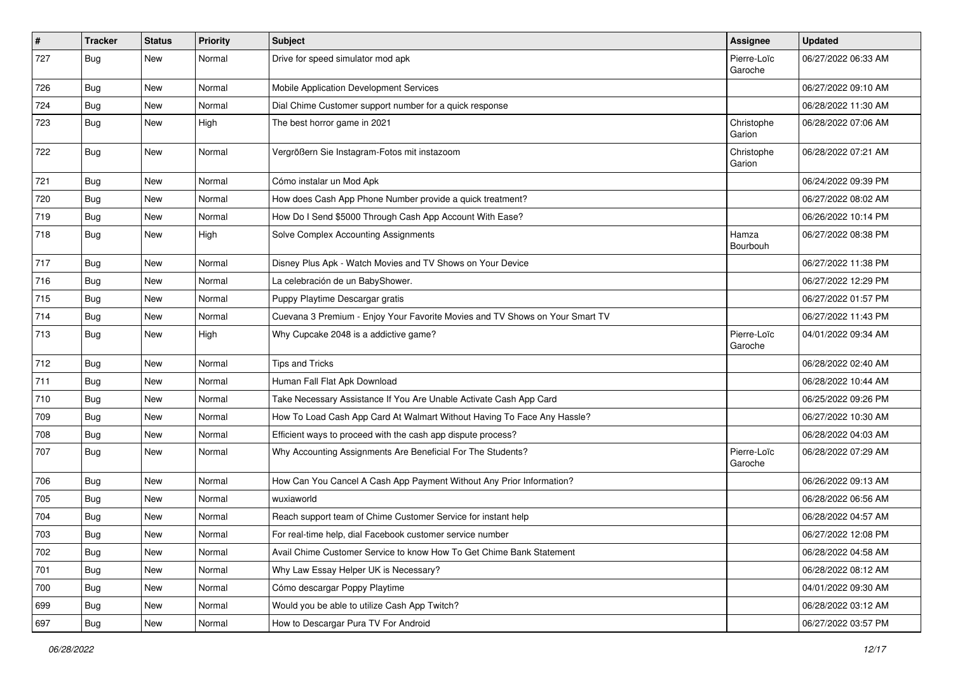| $\pmb{\#}$ | Tracker    | <b>Status</b> | <b>Priority</b> | <b>Subject</b>                                                               | Assignee               | <b>Updated</b>      |
|------------|------------|---------------|-----------------|------------------------------------------------------------------------------|------------------------|---------------------|
| 727        | <b>Bug</b> | New           | Normal          | Drive for speed simulator mod apk                                            | Pierre-Loïc<br>Garoche | 06/27/2022 06:33 AM |
| 726        | <b>Bug</b> | New           | Normal          | Mobile Application Development Services                                      |                        | 06/27/2022 09:10 AM |
| 724        | Bug        | New           | Normal          | Dial Chime Customer support number for a quick response                      |                        | 06/28/2022 11:30 AM |
| 723        | Bug        | <b>New</b>    | High            | The best horror game in 2021                                                 | Christophe<br>Garion   | 06/28/2022 07:06 AM |
| 722        | Bug        | New           | Normal          | Vergrößern Sie Instagram-Fotos mit instazoom                                 | Christophe<br>Garion   | 06/28/2022 07:21 AM |
| 721        | Bug        | New           | Normal          | Cómo instalar un Mod Apk                                                     |                        | 06/24/2022 09:39 PM |
| 720        | <b>Bug</b> | New           | Normal          | How does Cash App Phone Number provide a quick treatment?                    |                        | 06/27/2022 08:02 AM |
| 719        | <b>Bug</b> | New           | Normal          | How Do I Send \$5000 Through Cash App Account With Ease?                     |                        | 06/26/2022 10:14 PM |
| 718        | Bug        | New           | High            | Solve Complex Accounting Assignments                                         | Hamza<br>Bourbouh      | 06/27/2022 08:38 PM |
| 717        | <b>Bug</b> | New           | Normal          | Disney Plus Apk - Watch Movies and TV Shows on Your Device                   |                        | 06/27/2022 11:38 PM |
| 716        | Bug        | New           | Normal          | La celebración de un BabyShower.                                             |                        | 06/27/2022 12:29 PM |
| 715        | Bug        | New           | Normal          | Puppy Playtime Descargar gratis                                              |                        | 06/27/2022 01:57 PM |
| 714        | <b>Bug</b> | New           | Normal          | Cuevana 3 Premium - Enjoy Your Favorite Movies and TV Shows on Your Smart TV |                        | 06/27/2022 11:43 PM |
| 713        | <b>Bug</b> | New           | High            | Why Cupcake 2048 is a addictive game?                                        | Pierre-Loïc<br>Garoche | 04/01/2022 09:34 AM |
| 712        | Bug        | New           | Normal          | <b>Tips and Tricks</b>                                                       |                        | 06/28/2022 02:40 AM |
| 711        | Bug        | New           | Normal          | Human Fall Flat Apk Download                                                 |                        | 06/28/2022 10:44 AM |
| 710        | <b>Bug</b> | New           | Normal          | Take Necessary Assistance If You Are Unable Activate Cash App Card           |                        | 06/25/2022 09:26 PM |
| 709        | <b>Bug</b> | New           | Normal          | How To Load Cash App Card At Walmart Without Having To Face Any Hassle?      |                        | 06/27/2022 10:30 AM |
| 708        | <b>Bug</b> | New           | Normal          | Efficient ways to proceed with the cash app dispute process?                 |                        | 06/28/2022 04:03 AM |
| 707        | <b>Bug</b> | New           | Normal          | Why Accounting Assignments Are Beneficial For The Students?                  | Pierre-Loïc<br>Garoche | 06/28/2022 07:29 AM |
| 706        | <b>Bug</b> | New           | Normal          | How Can You Cancel A Cash App Payment Without Any Prior Information?         |                        | 06/26/2022 09:13 AM |
| 705        | <b>Bug</b> | New           | Normal          | wuxiaworld                                                                   |                        | 06/28/2022 06:56 AM |
| 704        | <b>Bug</b> | New           | Normal          | Reach support team of Chime Customer Service for instant help                |                        | 06/28/2022 04:57 AM |
| 703        | Bug        | New           | Normal          | For real-time help, dial Facebook customer service number                    |                        | 06/27/2022 12:08 PM |
| 702        | Bug        | New           | Normal          | Avail Chime Customer Service to know How To Get Chime Bank Statement         |                        | 06/28/2022 04:58 AM |
| 701        | Bug        | New           | Normal          | Why Law Essay Helper UK is Necessary?                                        |                        | 06/28/2022 08:12 AM |
| 700        | Bug        | New           | Normal          | Cómo descargar Poppy Playtime                                                |                        | 04/01/2022 09:30 AM |
| 699        | Bug        | New           | Normal          | Would you be able to utilize Cash App Twitch?                                |                        | 06/28/2022 03:12 AM |
| 697        | Bug        | New           | Normal          | How to Descargar Pura TV For Android                                         |                        | 06/27/2022 03:57 PM |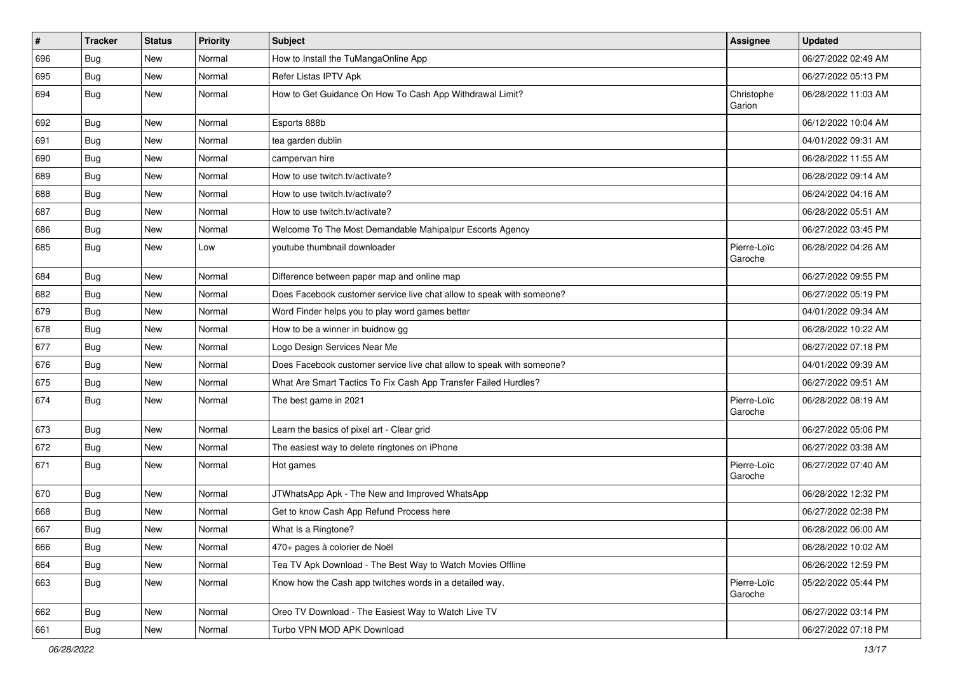| $\vert$ # | <b>Tracker</b> | <b>Status</b> | Priority | Subject                                                               | <b>Assignee</b>        | <b>Updated</b>      |
|-----------|----------------|---------------|----------|-----------------------------------------------------------------------|------------------------|---------------------|
| 696       | <b>Bug</b>     | New           | Normal   | How to Install the TuMangaOnline App                                  |                        | 06/27/2022 02:49 AM |
| 695       | Bug            | New           | Normal   | Refer Listas IPTV Apk                                                 |                        | 06/27/2022 05:13 PM |
| 694       | Bug            | New           | Normal   | How to Get Guidance On How To Cash App Withdrawal Limit?              | Christophe<br>Garion   | 06/28/2022 11:03 AM |
| 692       | Bug            | New           | Normal   | Esports 888b                                                          |                        | 06/12/2022 10:04 AM |
| 691       | Bug            | New           | Normal   | tea garden dublin                                                     |                        | 04/01/2022 09:31 AM |
| 690       | Bug            | New           | Normal   | campervan hire                                                        |                        | 06/28/2022 11:55 AM |
| 689       | Bug            | New           | Normal   | How to use twitch.tv/activate?                                        |                        | 06/28/2022 09:14 AM |
| 688       | Bug            | New           | Normal   | How to use twitch.tv/activate?                                        |                        | 06/24/2022 04:16 AM |
| 687       | <b>Bug</b>     | <b>New</b>    | Normal   | How to use twitch.tv/activate?                                        |                        | 06/28/2022 05:51 AM |
| 686       | Bug            | New           | Normal   | Welcome To The Most Demandable Mahipalpur Escorts Agency              |                        | 06/27/2022 03:45 PM |
| 685       | Bug            | New           | Low      | youtube thumbnail downloader                                          | Pierre-Loïc<br>Garoche | 06/28/2022 04:26 AM |
| 684       | Bug            | <b>New</b>    | Normal   | Difference between paper map and online map                           |                        | 06/27/2022 09:55 PM |
| 682       | Bug            | New           | Normal   | Does Facebook customer service live chat allow to speak with someone? |                        | 06/27/2022 05:19 PM |
| 679       | <b>Bug</b>     | <b>New</b>    | Normal   | Word Finder helps you to play word games better                       |                        | 04/01/2022 09:34 AM |
| 678       | Bug            | New           | Normal   | How to be a winner in buidnow gg                                      |                        | 06/28/2022 10:22 AM |
| 677       | Bug            | New           | Normal   | Logo Design Services Near Me                                          |                        | 06/27/2022 07:18 PM |
| 676       | Bug            | New           | Normal   | Does Facebook customer service live chat allow to speak with someone? |                        | 04/01/2022 09:39 AM |
| 675       | <b>Bug</b>     | New           | Normal   | What Are Smart Tactics To Fix Cash App Transfer Failed Hurdles?       |                        | 06/27/2022 09:51 AM |
| 674       | Bug            | New           | Normal   | The best game in 2021                                                 | Pierre-Loïc<br>Garoche | 06/28/2022 08:19 AM |
| 673       | Bug            | New           | Normal   | Learn the basics of pixel art - Clear grid                            |                        | 06/27/2022 05:06 PM |
| 672       | Bug            | New           | Normal   | The easiest way to delete ringtones on iPhone                         |                        | 06/27/2022 03:38 AM |
| 671       | Bug            | New           | Normal   | Hot games                                                             | Pierre-Loïc<br>Garoche | 06/27/2022 07:40 AM |
| 670       | Bug            | New           | Normal   | JTWhatsApp Apk - The New and Improved WhatsApp                        |                        | 06/28/2022 12:32 PM |
| 668       | <b>Bug</b>     | New           | Normal   | Get to know Cash App Refund Process here                              |                        | 06/27/2022 02:38 PM |
| 667       | <b>Bug</b>     | New           | Normal   | What Is a Ringtone?                                                   |                        | 06/28/2022 06:00 AM |
| 666       | Bug            | New           | Normal   | 470+ pages à colorier de Noël                                         |                        | 06/28/2022 10:02 AM |
| 664       | Bug            | New           | Normal   | Tea TV Apk Download - The Best Way to Watch Movies Offline            |                        | 06/26/2022 12:59 PM |
| 663       | Bug            | New           | Normal   | Know how the Cash app twitches words in a detailed way.               | Pierre-Loïc<br>Garoche | 05/22/2022 05:44 PM |
| 662       | Bug            | New           | Normal   | Oreo TV Download - The Easiest Way to Watch Live TV                   |                        | 06/27/2022 03:14 PM |
| 661       | Bug            | New           | Normal   | Turbo VPN MOD APK Download                                            |                        | 06/27/2022 07:18 PM |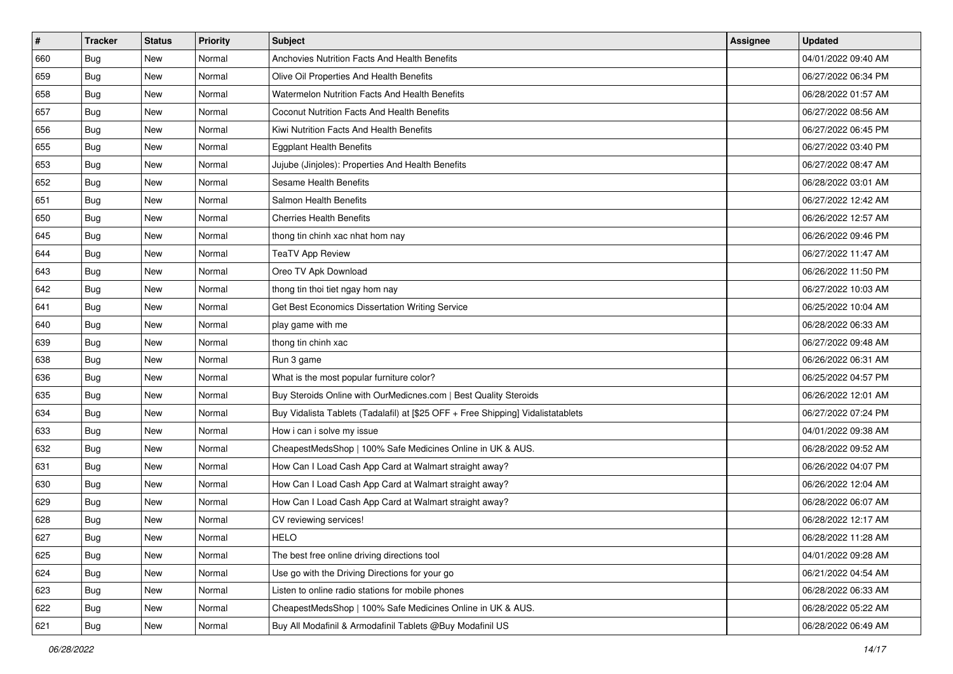| $\sharp$ | Tracker    | <b>Status</b> | Priority | Subject                                                                          | <b>Assignee</b> | <b>Updated</b>      |
|----------|------------|---------------|----------|----------------------------------------------------------------------------------|-----------------|---------------------|
| 660      | <b>Bug</b> | New           | Normal   | Anchovies Nutrition Facts And Health Benefits                                    |                 | 04/01/2022 09:40 AM |
| 659      | Bug        | <b>New</b>    | Normal   | Olive Oil Properties And Health Benefits                                         |                 | 06/27/2022 06:34 PM |
| 658      | Bug        | New           | Normal   | Watermelon Nutrition Facts And Health Benefits                                   |                 | 06/28/2022 01:57 AM |
| 657      | Bug        | New           | Normal   | Coconut Nutrition Facts And Health Benefits                                      |                 | 06/27/2022 08:56 AM |
| 656      | Bug        | New           | Normal   | Kiwi Nutrition Facts And Health Benefits                                         |                 | 06/27/2022 06:45 PM |
| 655      | Bug        | New           | Normal   | <b>Eggplant Health Benefits</b>                                                  |                 | 06/27/2022 03:40 PM |
| 653      | Bug        | New           | Normal   | Jujube (Jinjoles): Properties And Health Benefits                                |                 | 06/27/2022 08:47 AM |
| 652      | <b>Bug</b> | New           | Normal   | Sesame Health Benefits                                                           |                 | 06/28/2022 03:01 AM |
| 651      | <b>Bug</b> | New           | Normal   | Salmon Health Benefits                                                           |                 | 06/27/2022 12:42 AM |
| 650      | Bug        | New           | Normal   | <b>Cherries Health Benefits</b>                                                  |                 | 06/26/2022 12:57 AM |
| 645      | <b>Bug</b> | New           | Normal   | thong tin chinh xac nhat hom nay                                                 |                 | 06/26/2022 09:46 PM |
| 644      | Bug        | New           | Normal   | <b>TeaTV App Review</b>                                                          |                 | 06/27/2022 11:47 AM |
| 643      | Bug        | New           | Normal   | Oreo TV Apk Download                                                             |                 | 06/26/2022 11:50 PM |
| 642      | <b>Bug</b> | New           | Normal   | thong tin thoi tiet ngay hom nay                                                 |                 | 06/27/2022 10:03 AM |
| 641      | <b>Bug</b> | New           | Normal   | Get Best Economics Dissertation Writing Service                                  |                 | 06/25/2022 10:04 AM |
| 640      | Bug        | New           | Normal   | play game with me                                                                |                 | 06/28/2022 06:33 AM |
| 639      | Bug        | New           | Normal   | thong tin chinh xac                                                              |                 | 06/27/2022 09:48 AM |
| 638      | <b>Bug</b> | New           | Normal   | Run 3 game                                                                       |                 | 06/26/2022 06:31 AM |
| 636      | <b>Bug</b> | New           | Normal   | What is the most popular furniture color?                                        |                 | 06/25/2022 04:57 PM |
| 635      | <b>Bug</b> | New           | Normal   | Buy Steroids Online with OurMedicnes.com   Best Quality Steroids                 |                 | 06/26/2022 12:01 AM |
| 634      | Bug        | New           | Normal   | Buy Vidalista Tablets (Tadalafil) at [\$25 OFF + Free Shipping] Vidalistatablets |                 | 06/27/2022 07:24 PM |
| 633      | <b>Bug</b> | New           | Normal   | How i can i solve my issue                                                       |                 | 04/01/2022 09:38 AM |
| 632      | Bug        | New           | Normal   | CheapestMedsShop   100% Safe Medicines Online in UK & AUS.                       |                 | 06/28/2022 09:52 AM |
| 631      | <b>Bug</b> | New           | Normal   | How Can I Load Cash App Card at Walmart straight away?                           |                 | 06/26/2022 04:07 PM |
| 630      | <b>Bug</b> | New           | Normal   | How Can I Load Cash App Card at Walmart straight away?                           |                 | 06/26/2022 12:04 AM |
| 629      | Bug        | New           | Normal   | How Can I Load Cash App Card at Walmart straight away?                           |                 | 06/28/2022 06:07 AM |
| 628      | <b>Bug</b> | New           | Normal   | CV reviewing services!                                                           |                 | 06/28/2022 12:17 AM |
| 627      | <b>Bug</b> | New           | Normal   | <b>HELO</b>                                                                      |                 | 06/28/2022 11:28 AM |
| 625      | <b>Bug</b> | New           | Normal   | The best free online driving directions tool                                     |                 | 04/01/2022 09:28 AM |
| 624      | Bug        | New           | Normal   | Use go with the Driving Directions for your go                                   |                 | 06/21/2022 04:54 AM |
| 623      | Bug        | New           | Normal   | Listen to online radio stations for mobile phones                                |                 | 06/28/2022 06:33 AM |
| 622      | <b>Bug</b> | New           | Normal   | CheapestMedsShop   100% Safe Medicines Online in UK & AUS.                       |                 | 06/28/2022 05:22 AM |
| 621      | <b>Bug</b> | New           | Normal   | Buy All Modafinil & Armodafinil Tablets @Buy Modafinil US                        |                 | 06/28/2022 06:49 AM |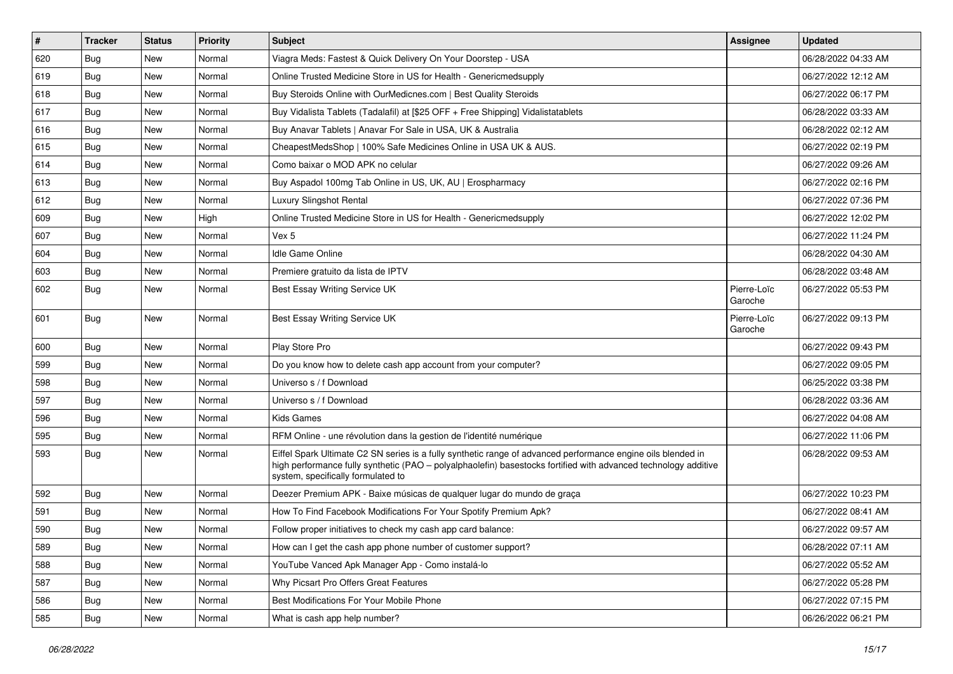| $\vert$ # | <b>Tracker</b> | <b>Status</b> | <b>Priority</b> | <b>Subject</b>                                                                                                                                                                                                                                                        | <b>Assignee</b>        | <b>Updated</b>      |
|-----------|----------------|---------------|-----------------|-----------------------------------------------------------------------------------------------------------------------------------------------------------------------------------------------------------------------------------------------------------------------|------------------------|---------------------|
| 620       | Bug            | New           | Normal          | Viagra Meds: Fastest & Quick Delivery On Your Doorstep - USA                                                                                                                                                                                                          |                        | 06/28/2022 04:33 AM |
| 619       | Bug            | New           | Normal          | Online Trusted Medicine Store in US for Health - Genericmedsupply                                                                                                                                                                                                     |                        | 06/27/2022 12:12 AM |
| 618       | Bug            | New           | Normal          | Buy Steroids Online with OurMedicnes.com   Best Quality Steroids                                                                                                                                                                                                      |                        | 06/27/2022 06:17 PM |
| 617       | Bug            | New           | Normal          | Buy Vidalista Tablets (Tadalafil) at [\$25 OFF + Free Shipping] Vidalistatablets                                                                                                                                                                                      |                        | 06/28/2022 03:33 AM |
| 616       | Bug            | New           | Normal          | Buy Anavar Tablets   Anavar For Sale in USA, UK & Australia                                                                                                                                                                                                           |                        | 06/28/2022 02:12 AM |
| 615       | Bug            | New           | Normal          | CheapestMedsShop   100% Safe Medicines Online in USA UK & AUS.                                                                                                                                                                                                        |                        | 06/27/2022 02:19 PM |
| 614       | Bug            | New           | Normal          | Como baixar o MOD APK no celular                                                                                                                                                                                                                                      |                        | 06/27/2022 09:26 AM |
| 613       | Bug            | New           | Normal          | Buy Aspadol 100mg Tab Online in US, UK, AU   Erospharmacy                                                                                                                                                                                                             |                        | 06/27/2022 02:16 PM |
| 612       | Bug            | New           | Normal          | Luxury Slingshot Rental                                                                                                                                                                                                                                               |                        | 06/27/2022 07:36 PM |
| 609       | Bug            | New           | High            | Online Trusted Medicine Store in US for Health - Genericmedsupply                                                                                                                                                                                                     |                        | 06/27/2022 12:02 PM |
| 607       | Bug            | New           | Normal          | Vex 5                                                                                                                                                                                                                                                                 |                        | 06/27/2022 11:24 PM |
| 604       | Bug            | New           | Normal          | Idle Game Online                                                                                                                                                                                                                                                      |                        | 06/28/2022 04:30 AM |
| 603       | Bug            | <b>New</b>    | Normal          | Premiere gratuito da lista de IPTV                                                                                                                                                                                                                                    |                        | 06/28/2022 03:48 AM |
| 602       | Bug            | New           | Normal          | Best Essay Writing Service UK                                                                                                                                                                                                                                         | Pierre-Loïc<br>Garoche | 06/27/2022 05:53 PM |
| 601       | Bug            | New           | Normal          | Best Essay Writing Service UK                                                                                                                                                                                                                                         | Pierre-Loïc<br>Garoche | 06/27/2022 09:13 PM |
| 600       | Bug            | New           | Normal          | Play Store Pro                                                                                                                                                                                                                                                        |                        | 06/27/2022 09:43 PM |
| 599       | Bug            | New           | Normal          | Do you know how to delete cash app account from your computer?                                                                                                                                                                                                        |                        | 06/27/2022 09:05 PM |
| 598       | Bug            | New           | Normal          | Universo s / f Download                                                                                                                                                                                                                                               |                        | 06/25/2022 03:38 PM |
| 597       | Bug            | New           | Normal          | Universo s / f Download                                                                                                                                                                                                                                               |                        | 06/28/2022 03:36 AM |
| 596       | Bug            | New           | Normal          | <b>Kids Games</b>                                                                                                                                                                                                                                                     |                        | 06/27/2022 04:08 AM |
| 595       | Bug            | <b>New</b>    | Normal          | RFM Online - une révolution dans la gestion de l'identité numérique                                                                                                                                                                                                   |                        | 06/27/2022 11:06 PM |
| 593       | Bug            | New           | Normal          | Eiffel Spark Ultimate C2 SN series is a fully synthetic range of advanced performance engine oils blended in<br>high performance fully synthetic (PAO - polyalphaolefin) basestocks fortified with advanced technology additive<br>system, specifically formulated to |                        | 06/28/2022 09:53 AM |
| 592       | Bug            | New           | Normal          | Deezer Premium APK - Baixe músicas de qualquer lugar do mundo de graça                                                                                                                                                                                                |                        | 06/27/2022 10:23 PM |
| 591       | Bug            | New           | Normal          | How To Find Facebook Modifications For Your Spotify Premium Apk?                                                                                                                                                                                                      |                        | 06/27/2022 08:41 AM |
| 590       | <b>Bug</b>     | New           | Normal          | Follow proper initiatives to check my cash app card balance:                                                                                                                                                                                                          |                        | 06/27/2022 09:57 AM |
| 589       | <b>Bug</b>     | New           | Normal          | How can I get the cash app phone number of customer support?                                                                                                                                                                                                          |                        | 06/28/2022 07:11 AM |
| 588       | Bug            | New           | Normal          | YouTube Vanced Apk Manager App - Como instalá-lo                                                                                                                                                                                                                      |                        | 06/27/2022 05:52 AM |
| 587       | Bug            | New           | Normal          | Why Picsart Pro Offers Great Features                                                                                                                                                                                                                                 |                        | 06/27/2022 05:28 PM |
| 586       | <b>Bug</b>     | New           | Normal          | Best Modifications For Your Mobile Phone                                                                                                                                                                                                                              |                        | 06/27/2022 07:15 PM |
| 585       | Bug            | New           | Normal          | What is cash app help number?                                                                                                                                                                                                                                         |                        | 06/26/2022 06:21 PM |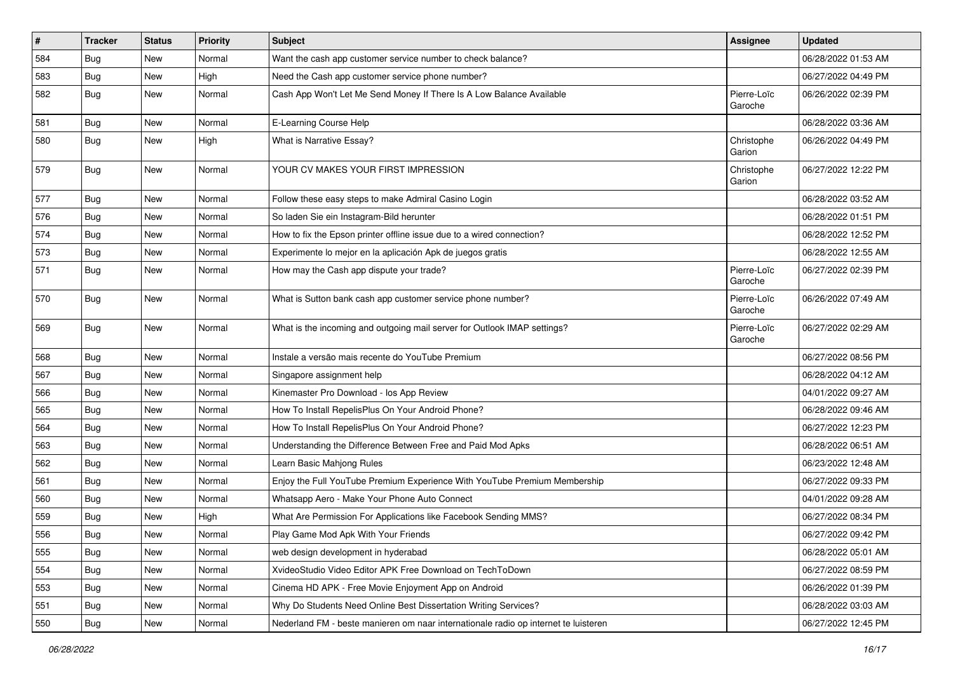| $\vert$ # | <b>Tracker</b> | <b>Status</b> | <b>Priority</b> | <b>Subject</b>                                                                      | <b>Assignee</b>        | <b>Updated</b>      |
|-----------|----------------|---------------|-----------------|-------------------------------------------------------------------------------------|------------------------|---------------------|
| 584       | Bug            | New           | Normal          | Want the cash app customer service number to check balance?                         |                        | 06/28/2022 01:53 AM |
| 583       | <b>Bug</b>     | <b>New</b>    | High            | Need the Cash app customer service phone number?                                    |                        | 06/27/2022 04:49 PM |
| 582       | Bug            | New           | Normal          | Cash App Won't Let Me Send Money If There Is A Low Balance Available                | Pierre-Loïc<br>Garoche | 06/26/2022 02:39 PM |
| 581       | Bug            | New           | Normal          | E-Learning Course Help                                                              |                        | 06/28/2022 03:36 AM |
| 580       | Bug            | New           | High            | What is Narrative Essay?                                                            | Christophe<br>Garion   | 06/26/2022 04:49 PM |
| 579       | Bug            | New           | Normal          | YOUR CV MAKES YOUR FIRST IMPRESSION                                                 | Christophe<br>Garion   | 06/27/2022 12:22 PM |
| 577       | Bug            | New           | Normal          | Follow these easy steps to make Admiral Casino Login                                |                        | 06/28/2022 03:52 AM |
| 576       | Bug            | New           | Normal          | So laden Sie ein Instagram-Bild herunter                                            |                        | 06/28/2022 01:51 PM |
| 574       | <b>Bug</b>     | New           | Normal          | How to fix the Epson printer offline issue due to a wired connection?               |                        | 06/28/2022 12:52 PM |
| 573       | Bug            | New           | Normal          | Experimente lo mejor en la aplicación Apk de juegos gratis                          |                        | 06/28/2022 12:55 AM |
| 571       | Bug            | New           | Normal          | How may the Cash app dispute your trade?                                            | Pierre-Loïc<br>Garoche | 06/27/2022 02:39 PM |
| 570       | Bug            | <b>New</b>    | Normal          | What is Sutton bank cash app customer service phone number?                         | Pierre-Loïc<br>Garoche | 06/26/2022 07:49 AM |
| 569       | Bug            | New           | Normal          | What is the incoming and outgoing mail server for Outlook IMAP settings?            | Pierre-Loïc<br>Garoche | 06/27/2022 02:29 AM |
| 568       | <b>Bug</b>     | New           | Normal          | Instale a versão mais recente do YouTube Premium                                    |                        | 06/27/2022 08:56 PM |
| 567       | Bug            | New           | Normal          | Singapore assignment help                                                           |                        | 06/28/2022 04:12 AM |
| 566       | <b>Bug</b>     | New           | Normal          | Kinemaster Pro Download - los App Review                                            |                        | 04/01/2022 09:27 AM |
| 565       | Bug            | New           | Normal          | How To Install RepelisPlus On Your Android Phone?                                   |                        | 06/28/2022 09:46 AM |
| 564       | <b>Bug</b>     | New           | Normal          | How To Install RepelisPlus On Your Android Phone?                                   |                        | 06/27/2022 12:23 PM |
| 563       | Bug            | New           | Normal          | Understanding the Difference Between Free and Paid Mod Apks                         |                        | 06/28/2022 06:51 AM |
| 562       | Bug            | New           | Normal          | Learn Basic Mahjong Rules                                                           |                        | 06/23/2022 12:48 AM |
| 561       | Bug            | New           | Normal          | Enjoy the Full YouTube Premium Experience With YouTube Premium Membership           |                        | 06/27/2022 09:33 PM |
| 560       | Bug            | New           | Normal          | Whatsapp Aero - Make Your Phone Auto Connect                                        |                        | 04/01/2022 09:28 AM |
| 559       | <b>Bug</b>     | <b>New</b>    | High            | What Are Permission For Applications like Facebook Sending MMS?                     |                        | 06/27/2022 08:34 PM |
| 556       | <b>Bug</b>     | New           | Normal          | Play Game Mod Apk With Your Friends                                                 |                        | 06/27/2022 09:42 PM |
| 555       | Bug            | New           | Normal          | web design development in hyderabad                                                 |                        | 06/28/2022 05:01 AM |
| 554       | Bug            | New           | Normal          | XvideoStudio Video Editor APK Free Download on TechToDown                           |                        | 06/27/2022 08:59 PM |
| 553       | Bug            | New           | Normal          | Cinema HD APK - Free Movie Enjoyment App on Android                                 |                        | 06/26/2022 01:39 PM |
| 551       | Bug            | New           | Normal          | Why Do Students Need Online Best Dissertation Writing Services?                     |                        | 06/28/2022 03:03 AM |
| 550       | Bug            | New           | Normal          | Nederland FM - beste manieren om naar internationale radio op internet te luisteren |                        | 06/27/2022 12:45 PM |